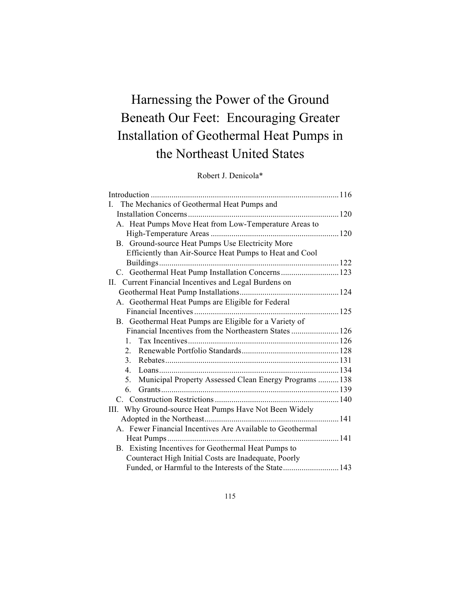# Harnessing the Power of the Ground Beneath Our Feet: Encouraging Greater Installation of Geothermal Heat Pumps in the Northeast United States

## Robert J. Denicola\*

| The Mechanics of Geothermal Heat Pumps and<br>$\mathbf{I}$        |  |
|-------------------------------------------------------------------|--|
|                                                                   |  |
| A. Heat Pumps Move Heat from Low-Temperature Areas to             |  |
|                                                                   |  |
| B. Ground-source Heat Pumps Use Electricity More                  |  |
| Efficiently than Air-Source Heat Pumps to Heat and Cool           |  |
|                                                                   |  |
| C. Geothermal Heat Pump Installation Concerns 123                 |  |
| II. Current Financial Incentives and Legal Burdens on             |  |
|                                                                   |  |
| A. Geothermal Heat Pumps are Eligible for Federal                 |  |
|                                                                   |  |
| B. Geothermal Heat Pumps are Eligible for a Variety of            |  |
|                                                                   |  |
| 1                                                                 |  |
| $2_{-}$                                                           |  |
| 3.                                                                |  |
| $4_{\cdot}$                                                       |  |
| Municipal Property Assessed Clean Energy Programs  138<br>$5_{-}$ |  |
| 6                                                                 |  |
|                                                                   |  |
| III. Why Ground-source Heat Pumps Have Not Been Widely            |  |
|                                                                   |  |
| A. Fewer Financial Incentives Are Available to Geothermal         |  |
|                                                                   |  |
| B. Existing Incentives for Geothermal Heat Pumps to               |  |
| Counteract High Initial Costs are Inadequate, Poorly              |  |
| Funded, or Harmful to the Interests of the State 143              |  |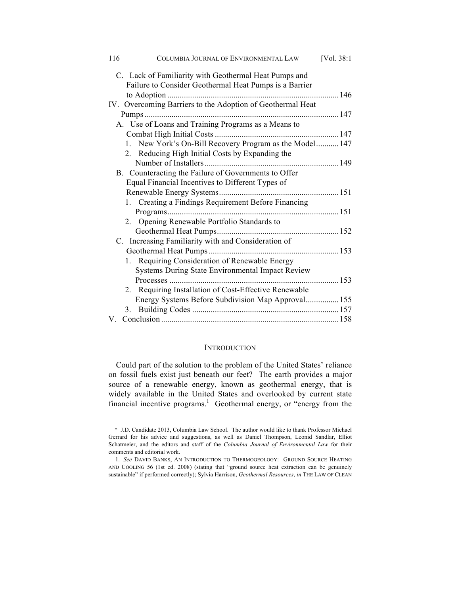| 116 | COLUMBIA JOURNAL OF ENVIRONMENTAL LAW                      | [Vol. 38:1] |
|-----|------------------------------------------------------------|-------------|
|     | C. Lack of Familiarity with Geothermal Heat Pumps and      |             |
|     | Failure to Consider Geothermal Heat Pumps is a Barrier     |             |
|     |                                                            |             |
|     | IV. Overcoming Barriers to the Adoption of Geothermal Heat |             |
|     |                                                            |             |
|     | A. Use of Loans and Training Programs as a Means to        |             |
|     |                                                            |             |
|     | 1. New York's On-Bill Recovery Program as the Model 147    |             |
|     | 2. Reducing High Initial Costs by Expanding the            |             |
|     |                                                            |             |
|     | B. Counteracting the Failure of Governments to Offer       |             |
|     | Equal Financial Incentives to Different Types of           |             |
|     |                                                            |             |
|     | 1. Creating a Findings Requirement Before Financing        |             |
|     |                                                            |             |
|     | 2. Opening Renewable Portfolio Standards to                |             |
|     |                                                            |             |
|     | C. Increasing Familiarity with and Consideration of        |             |
|     |                                                            |             |
|     | 1. Requiring Consideration of Renewable Energy             |             |
|     | Systems During State Environmental Impact Review           |             |
|     | Processes                                                  |             |
|     | 2. Requiring Installation of Cost-Effective Renewable      |             |
|     | Energy Systems Before Subdivision Map Approval155          |             |
|     |                                                            |             |
|     |                                                            |             |

## **INTRODUCTION**

Could part of the solution to the problem of the United States' reliance on fossil fuels exist just beneath our feet? The earth provides a major source of a renewable energy, known as geothermal energy, that is widely available in the United States and overlooked by current state financial incentive programs.<sup>1</sup> Geothermal energy, or "energy from the

<sup>\*</sup> J.D. Candidate 2013, Columbia Law School. The author would like to thank Professor Michael Gerrard for his advice and suggestions, as well as Daniel Thompson, Leonid Sandlar, Elliot Schatmeier, and the editors and staff of the *Columbia Journal of Environmental Law* for their comments and editorial work.

<sup>1.</sup> *See* DAVID BANKS, AN INTRODUCTION TO THERMOGEOLOGY: GROUND SOURCE HEATING AND COOLING 56 (1st ed. 2008) (stating that "ground source heat extraction can be genuinely sustainable" if performed correctly); Sylvia Harrison, *Geothermal Resources*, *in* THE LAW OF CLEAN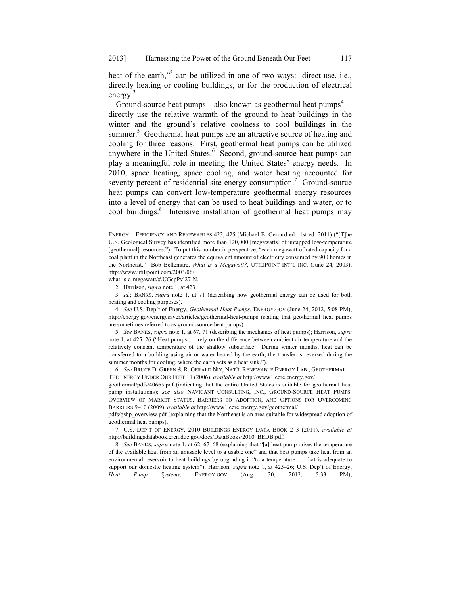heat of the earth,"<sup>2</sup> can be utilized in one of two ways: direct use, i.e., directly heating or cooling buildings, or for the production of electrical energy.<sup>3</sup>

Ground-source heat pumps—also known as geothermal heat pumps<sup>4</sup> directly use the relative warmth of the ground to heat buildings in the winter and the ground's relative coolness to cool buildings in the summer.<sup>5</sup> Geothermal heat pumps are an attractive source of heating and cooling for three reasons. First, geothermal heat pumps can be utilized anywhere in the United States.<sup>6</sup> Second, ground-source heat pumps can play a meaningful role in meeting the United States' energy needs. In 2010, space heating, space cooling, and water heating accounted for seventy percent of residential site energy consumption.<sup>7</sup> Ground-source heat pumps can convert low-temperature geothermal energy resources into a level of energy that can be used to heat buildings and water, or to cool buildings.<sup>8</sup> Intensive installation of geothermal heat pumps may

ENERGY: EFFICIENCY AND RENEWABLES 423, 425 (Michael B. Gerrard ed., 1st ed. 2011) ("[T]he U.S. Geological Survey has identified more than 120,000 [megawatts] of untapped low-temperature [geothermal] resources."). To put this number in perspective, "each megawatt of rated capacity for a coal plant in the Northeast generates the equivalent amount of electricity consumed by 900 homes in the Northeast." Bob Bellemare, *What is a Megawatt?*, UTILIPOINT INT'L INC. (June 24, 2003), http://www.utilipoint.com/2003/06/

what-is-a-megawatt/#.UGcpPvl27-N.

2. Harrison, *supra* note 1, at 423.

3. *Id.*; BANKS, *supra* note 1, at 71 (describing how geothermal energy can be used for both heating and cooling purposes).

4. *See* U.S. Dep't of Energy, *Geothermal Heat Pumps*, ENERGY.GOV (June 24, 2012, 5:08 PM), http://energy.gov/energysaver/articles/geothermal-heat-pumps (stating that geothermal heat pumps are sometimes referred to as ground-source heat pumps).

5. *See* BANKS, *supra* note 1, at 67, 71 (describing the mechanics of heat pumps); Harrison, *supra* note 1, at 425–26 ("Heat pumps . . . rely on the difference between ambient air temperature and the relatively constant temperature of the shallow subsurface. During winter months, heat can be transferred to a building using air or water heated by the earth; the transfer is reversed during the summer months for cooling, where the earth acts as a heat sink.").

6. *See* BRUCE D. GREEN & R. GERALD NIX, NAT'L RENEWABLE ENERGY LAB., GEOTHERMAL— THE ENERGY UNDER OUR FEET 11 (2006), *available at* http://www1.eere.energy.gov/

geothermal/pdfs/40665.pdf (indicating that the entire United States is suitable for geothermal heat pump installations); *see also* NAVIGANT CONSULTING, INC., GROUND-SOURCE HEAT PUMPS: OVERVIEW OF MARKET STATUS, BARRIERS TO ADOPTION, AND OPTIONS FOR OVERCOMING BARRIERS 9–10 (2009), *available at* http://www1.eere.energy.gov/geothermal/

pdfs/gshp\_overview.pdf (explaining that the Northeast is an area suitable for widespread adoption of geothermal heat pumps).

7. U.S. DEP'T OF ENERGY, 2010 BUILDINGS ENERGY DATA BOOK 2–3 (2011), *available at* http://buildingsdatabook.eren.doe.gov/docs/DataBooks/2010\_BEDB.pdf.

8. *See* BANKS, *supra* note 1, at 62, 67–68 (explaining that "[a] heat pump raises the temperature of the available heat from an unusable level to a usable one" and that heat pumps take heat from an environmental reservoir to heat buildings by upgrading it "to a temperature . . . that is adequate to support our domestic heating system"); Harrison, *supra* note 1, at 425–26; U.S. Dep't of Energy, *Heat Pump Systems*, ENERGY.GOV (Aug. 30, 2012, 5:33 PM),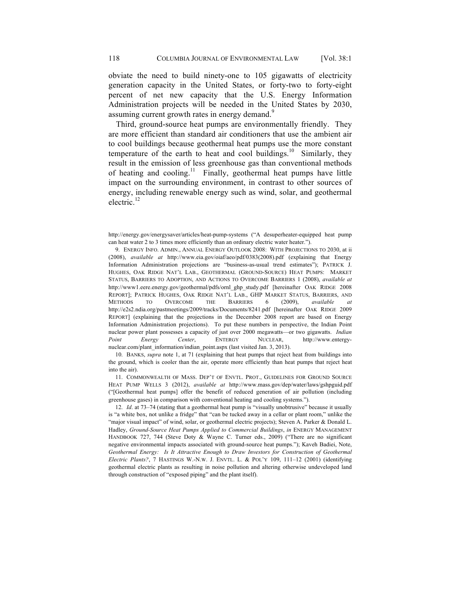obviate the need to build ninety-one to 105 gigawatts of electricity generation capacity in the United States, or forty-two to forty-eight percent of net new capacity that the U.S. Energy Information Administration projects will be needed in the United States by 2030, assuming current growth rates in energy demand.<sup>9</sup>

Third, ground-source heat pumps are environmentally friendly. They are more efficient than standard air conditioners that use the ambient air to cool buildings because geothermal heat pumps use the more constant temperature of the earth to heat and cool buildings.<sup>10</sup> Similarly, they result in the emission of less greenhouse gas than conventional methods of heating and cooling.<sup>11</sup> Finally, geothermal heat pumps have little impact on the surrounding environment, in contrast to other sources of energy, including renewable energy such as wind, solar, and geothermal electric. $^{12}$ 

9. ENERGY INFO. ADMIN., ANNUAL ENERGY OUTLOOK 2008: WITH PROJECTIONS TO 2030, at ii (2008), *available at* http://www.eia.gov/oiaf/aeo/pdf/0383(2008).pdf (explaining that Energy Information Administration projections are "business-as-usual trend estimates"); PATRICK J. HUGHES, OAK RIDGE NAT'L LAB., GEOTHERMAL (GROUND-SOURCE) HEAT PUMPS: MARKET STATUS, BARRIERS TO ADOPTION, AND ACTIONS TO OVERCOME BARRIERS 1 (2008), *available at*  http://www1.eere.energy.gov/geothermal/pdfs/ornl\_ghp\_study.pdf [hereinafter OAK RIDGE 2008 REPORT]; PATRICK HUGHES, OAK RIDGE NAT'L LAB., GHP MARKET STATUS, BARRIERS, AND METHODS TO OVERCOME THE BARRIERS 6 (2009), *available at*  http://e2s2.ndia.org/pastmeetings/2009/tracks/Documents/8241.pdf [hereinafter OAK RIDGE 2009 REPORT] (explaining that the projections in the December 2008 report are based on Energy Information Administration projections). To put these numbers in perspective, the Indian Point nuclear power plant possesses a capacity of just over 2000 megawatts—or two gigawatts. *Indian Point Energy Center*, ENTERGY NUCLEAR, http://www.entergynuclear.com/plant\_information/indian\_point.aspx (last visited Jan. 3, 2013).

10. BANKS, *supra* note 1, at 71 (explaining that heat pumps that reject heat from buildings into the ground, which is cooler than the air, operate more efficiently than heat pumps that reject heat into the air).

11. COMMONWEALTH OF MASS. DEP'T OF ENVTL. PROT., GUIDELINES FOR GROUND SOURCE HEAT PUMP WELLS 3 (2012), *available at* http://www.mass.gov/dep/water/laws/gshpguid.pdf ("[Geothermal heat pumps] offer the benefit of reduced generation of air pollution (including greenhouse gases) in comparison with conventional heating and cooling systems.").

12. *Id*. at 73–74 (stating that a geothermal heat pump is "visually unobtrusive" because it usually is "a white box, not unlike a fridge" that "can be tucked away in a cellar or plant room," unlike the "major visual impact" of wind, solar, or geothermal electric projects); Steven A. Parker & Donald L. Hadley, *Ground-Source Heat Pumps Applied to Commercial Buildings*, *in* ENERGY MANAGEMENT HANDBOOK 727, 744 (Steve Doty & Wayne C. Turner eds., 2009) ("There are no significant negative environmental impacts associated with ground-source heat pumps."); Kaveh Badiei, Note, *Geothermal Energy: Is It Attractive Enough to Draw Investors for Construction of Geothermal Electric Plants?*, 7 HASTINGS W.-N.W. J. ENVTL. L. & POL'Y 109, 111–12 (2001) (identifying geothermal electric plants as resulting in noise pollution and altering otherwise undeveloped land through construction of "exposed piping" and the plant itself).

http://energy.gov/energysaver/articles/heat-pump-systems ("A desuperheater-equipped heat pump can heat water 2 to 3 times more efficiently than an ordinary electric water heater.").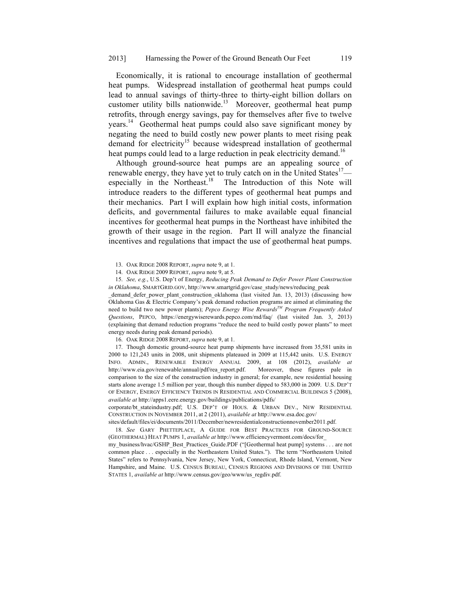Economically, it is rational to encourage installation of geothermal heat pumps. Widespread installation of geothermal heat pumps could lead to annual savings of thirty-three to thirty-eight billion dollars on customer utility bills nationwide.<sup>13</sup> Moreover, geothermal heat pump retrofits, through energy savings, pay for themselves after five to twelve years.<sup>14</sup> Geothermal heat pumps could also save significant money by negating the need to build costly new power plants to meet rising peak demand for electricity<sup>15</sup> because widespread installation of geothermal heat pumps could lead to a large reduction in peak electricity demand.<sup>16</sup>

Although ground-source heat pumps are an appealing source of renewable energy, they have yet to truly catch on in the United States<sup>17</sup> especially in the Northeast.<sup>18</sup> The Introduction of this Note will introduce readers to the different types of geothermal heat pumps and their mechanics. Part I will explain how high initial costs, information deficits, and governmental failures to make available equal financial incentives for geothermal heat pumps in the Northeast have inhibited the growth of their usage in the region. Part II will analyze the financial incentives and regulations that impact the use of geothermal heat pumps.

13. OAK RIDGE 2008 REPORT, *supra* note 9, at 1.

15. *See, e.g.*, U.S. Dep't of Energy, *Reducing Peak Demand to Defer Power Plant Construction in Oklahoma*, SMARTGRID.GOV, http://www.smartgrid.gov/case\_study/news/reducing\_peak

demand defer power plant construction oklahoma (last visited Jan. 13, 2013) (discussing how Oklahoma Gas & Electric Company's peak demand reduction programs are aimed at eliminating the need to build two new power plants); *Pepco Energy Wise RewardsTM Program Frequently Asked Questions*, PEPCO, https://energywiserewards.pepco.com/md/faq/ (last visited Jan. 3, 2013) (explaining that demand reduction programs "reduce the need to build costly power plants" to meet energy needs during peak demand periods).

16. OAK RIDGE 2008 REPORT, *supra* note 9, at 1.

17. Though domestic ground-source heat pump shipments have increased from 35,581 units in 2000 to 121,243 units in 2008, unit shipments plateaued in 2009 at 115,442 units. U.S. ENERGY INFO. ADMIN., RENEWABLE ENERGY ANNUAL 2009, at 108 (2012), *available at* http://www.eia.gov/renewable/annual/pdf/rea\_report.pdf. Moreover, these figures pale in comparison to the size of the construction industry in general; for example, new residential housing starts alone average 1.5 million per year, though this number dipped to 583,000 in 2009. U.S. DEP'T OF ENERGY, ENERGY EFFICIENCY TRENDS IN RESIDENTIAL AND COMMERCIAL BUILDINGS 5 (2008), *available at* http://apps1.eere.energy.gov/buildings/publications/pdfs/

corporate/bt stateindustry.pdf; U.S. DEP'T OF HOUS. & URBAN DEV., NEW RESIDENTIAL CONSTRUCTION IN NOVEMBER 2011, at 2 (2011), *available at* http://www.esa.doc.gov/

sites/default/files/ei/documents/2011/December/newresidentialconstructionnovember2011.pdf.

18. *See* GARY PHETTEPLACE, A GUIDE FOR BEST PRACTICES FOR GROUND-SOURCE (GEOTHERMAL) HEAT PUMPS 1, *available at* http://www.efficiencyvermont.com/docs/for\_

my\_business/hvac/GSHP\_Best\_Practices\_Guide.PDF ("[Geothermal heat pump] systems . . . are not common place . . . especially in the Northeastern United States."). The term "Northeastern United States" refers to Pennsylvania, New Jersey, New York, Connecticut, Rhode Island, Vermont, New Hampshire, and Maine. U.S. CENSUS BUREAU, CENSUS REGIONS AND DIVISIONS OF THE UNITED STATES 1, *available at* http://www.census.gov/geo/www/us\_regdiv.pdf.

<sup>14.</sup> OAK RIDGE 2009 REPORT, *supra* note 9, at 5.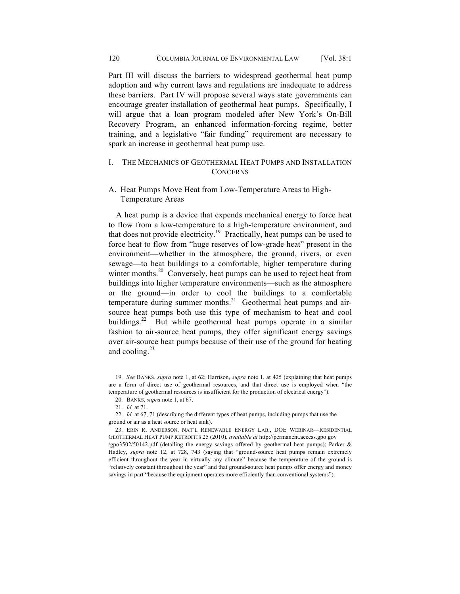Part III will discuss the barriers to widespread geothermal heat pump adoption and why current laws and regulations are inadequate to address these barriers. Part IV will propose several ways state governments can encourage greater installation of geothermal heat pumps. Specifically, I will argue that a loan program modeled after New York's On-Bill Recovery Program, an enhanced information-forcing regime, better training, and a legislative "fair funding" requirement are necessary to spark an increase in geothermal heat pump use.

## I. THE MECHANICS OF GEOTHERMAL HEAT PUMPS AND INSTALLATION **CONCERNS**

## A. Heat Pumps Move Heat from Low-Temperature Areas to High-Temperature Areas

A heat pump is a device that expends mechanical energy to force heat to flow from a low-temperature to a high-temperature environment, and that does not provide electricity.19 Practically, heat pumps can be used to force heat to flow from "huge reserves of low-grade heat" present in the environment—whether in the atmosphere, the ground, rivers, or even sewage—to heat buildings to a comfortable, higher temperature during winter months.<sup>20</sup> Conversely, heat pumps can be used to reject heat from buildings into higher temperature environments—such as the atmosphere or the ground—in order to cool the buildings to a comfortable temperature during summer months.<sup>21</sup> Geothermal heat pumps and airsource heat pumps both use this type of mechanism to heat and cool buildings.<sup>22</sup> But while geothermal heat pumps operate in a similar fashion to air-source heat pumps, they offer significant energy savings over air-source heat pumps because of their use of the ground for heating and cooling. $^{23}$ 

23. ERIN R. ANDERSON, NAT'L RENEWABLE ENERGY LAB., DOE WEBINAR—RESIDENTIAL GEOTHERMAL HEAT PUMP RETROFITS 25 (2010), *available at* http://permanent.access.gpo.gov /gpo3502/50142.pdf (detailing the energy savings offered by geothermal heat pumps); Parker & Hadley, *supra* note 12, at 728, 743 (saying that "ground-source heat pumps remain extremely efficient throughout the year in virtually any climate" because the temperature of the ground is "relatively constant throughout the year" and that ground-source heat pumps offer energy and money savings in part "because the equipment operates more efficiently than conventional systems").

<sup>19.</sup> *See* BANKS, *supra* note 1, at 62; Harrison, *supra* note 1, at 425 (explaining that heat pumps are a form of direct use of geothermal resources, and that direct use is employed when "the temperature of geothermal resources is insufficient for the production of electrical energy").

<sup>20.</sup> BANKS, *supra* note 1, at 67.

<sup>21.</sup> *Id.* at 71.

<sup>22.</sup> *Id.* at 67, 71 (describing the different types of heat pumps, including pumps that use the ground or air as a heat source or heat sink).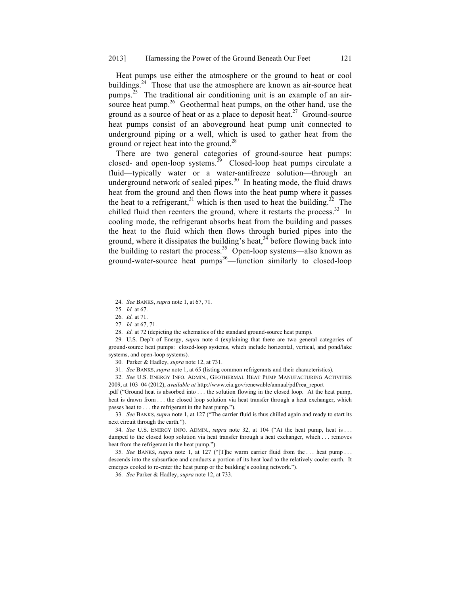Heat pumps use either the atmosphere or the ground to heat or cool buildings.<sup>24</sup> Those that use the atmosphere are known as air-source heat pumps.<sup>25</sup> The traditional air conditioning unit is an example of an airsource heat pump.<sup>26</sup> Geothermal heat pumps, on the other hand, use the ground as a source of heat or as a place to deposit heat.<sup>27</sup> Ground-source heat pumps consist of an aboveground heat pump unit connected to underground piping or a well, which is used to gather heat from the ground or reject heat into the ground.<sup>28</sup>

There are two general categories of ground-source heat pumps: closed- and open-loop systems.<sup>29</sup> Closed-loop heat pumps circulate a fluid—typically water or a water-antifreeze solution—through an underground network of sealed pipes. $30$  In heating mode, the fluid draws heat from the ground and then flows into the heat pump where it passes the heat to a refrigerant,<sup>31</sup> which is then used to heat the building.<sup>32</sup> The chilled fluid then reenters the ground, where it restarts the process.<sup>33</sup> In cooling mode, the refrigerant absorbs heat from the building and passes the heat to the fluid which then flows through buried pipes into the ground, where it dissipates the building's heat,  $34$  before flowing back into the building to restart the process.<sup>35</sup> Open-loop systems—also known as ground-water-source heat pumps $36$ —function similarly to closed-loop

24. *See* BANKS, *supra* note 1, at 67, 71.

27. *Id.* at 67, 71.

29. U.S. Dep't of Energy, *supra* note 4 (explaining that there are two general categories of ground-source heat pumps: closed-loop systems, which include horizontal, vertical, and pond/lake systems, and open-loop systems).

30. Parker & Hadley, *supra* note 12, at 731.

31. *See* BANKS, *supra* note 1, at 65 (listing common refrigerants and their characteristics).

32. *See* U.S. ENERGY INFO. ADMIN., GEOTHERMAL HEAT PUMP MANUFACTURING ACTIVITIES 2009, at 103–04 (2012), *available at* http://www.eia.gov/renewable/annual/pdf/rea\_report

.pdf ("Ground heat is absorbed into . . . the solution flowing in the closed loop. At the heat pump, heat is drawn from . . . the closed loop solution via heat transfer through a heat exchanger, which passes heat to . . . the refrigerant in the heat pump.").

33. *See* BANKS, *supra* note 1, at 127 ("The carrier fluid is thus chilled again and ready to start its next circuit through the earth.").

34. *See* U.S. ENERGY INFO. ADMIN., *supra* note 32, at 104 ("At the heat pump, heat is . . . dumped to the closed loop solution via heat transfer through a heat exchanger, which . . . removes heat from the refrigerant in the heat pump.").

35. *See* BANKS, *supra* note 1, at 127 ("[T]he warm carrier fluid from the . . . heat pump . . . descends into the subsurface and conducts a portion of its heat load to the relatively cooler earth. It emerges cooled to re-enter the heat pump or the building's cooling network.").

36. *See* Parker & Hadley, *supra* note 12, at 733.

<sup>25.</sup> *Id.* at 67.

<sup>26.</sup> *Id.* at 71.

<sup>28.</sup> *Id.* at 72 (depicting the schematics of the standard ground-source heat pump).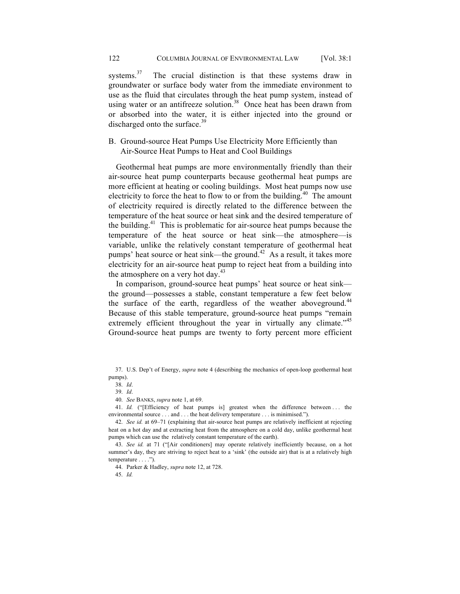systems.<sup>37</sup> The crucial distinction is that these systems draw in groundwater or surface body water from the immediate environment to use as the fluid that circulates through the heat pump system, instead of using water or an antifreeze solution.<sup>38</sup> Once heat has been drawn from or absorbed into the water, it is either injected into the ground or discharged onto the surface.<sup>39</sup>

## B. Ground-source Heat Pumps Use Electricity More Efficiently than Air-Source Heat Pumps to Heat and Cool Buildings

Geothermal heat pumps are more environmentally friendly than their air-source heat pump counterparts because geothermal heat pumps are more efficient at heating or cooling buildings. Most heat pumps now use electricity to force the heat to flow to or from the building. $40$  The amount of electricity required is directly related to the difference between the temperature of the heat source or heat sink and the desired temperature of the building.<sup>41</sup> This is problematic for air-source heat pumps because the temperature of the heat source or heat sink—the atmosphere—is variable, unlike the relatively constant temperature of geothermal heat pumps' heat source or heat sink—the ground.<sup>42</sup> As a result, it takes more electricity for an air-source heat pump to reject heat from a building into the atmosphere on a very hot day. $43$ 

In comparison, ground-source heat pumps' heat source or heat sink the ground—possesses a stable, constant temperature a few feet below the surface of the earth, regardless of the weather above ground.<sup>44</sup> Because of this stable temperature, ground-source heat pumps "remain extremely efficient throughout the year in virtually any climate."<sup>45</sup> Ground-source heat pumps are twenty to forty percent more efficient

41. *Id.* ("[Efficiency of heat pumps is] greatest when the difference between ... the environmental source . . . and . . . the heat delivery temperature . . . is minimised.").

45. *Id.*

<sup>37.</sup> U.S. Dep't of Energy, *supra* note 4 (describing the mechanics of open-loop geothermal heat pumps).

<sup>38.</sup> *Id*.

<sup>39.</sup> *Id*.

<sup>40.</sup> *See* BANKS, *supra* note 1, at 69.

<sup>42.</sup> *See id.* at 69–71 (explaining that air-source heat pumps are relatively inefficient at rejecting heat on a hot day and at extracting heat from the atmosphere on a cold day, unlike geothermal heat pumps which can use the relatively constant temperature of the earth).

<sup>43.</sup> *See id.* at 71 ("[Air conditioners] may operate relatively inefficiently because, on a hot summer's day, they are striving to reject heat to a 'sink' (the outside air) that is at a relatively high temperature . . . .").

<sup>44.</sup> Parker & Hadley, *supra* note 12, at 728.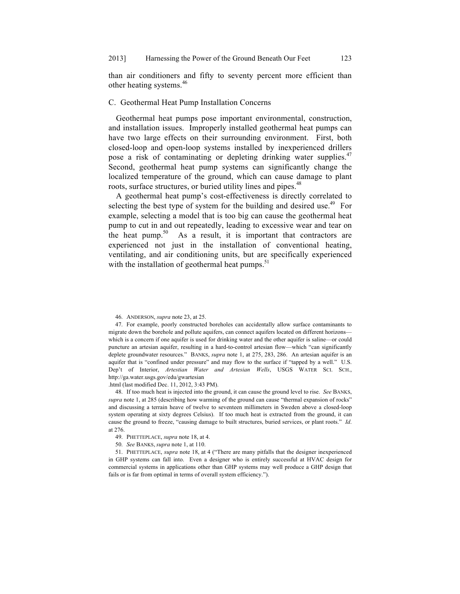than air conditioners and fifty to seventy percent more efficient than other heating systems.<sup>46</sup>

## C. Geothermal Heat Pump Installation Concerns

Geothermal heat pumps pose important environmental, construction, and installation issues. Improperly installed geothermal heat pumps can have two large effects on their surrounding environment. First, both closed-loop and open-loop systems installed by inexperienced drillers pose a risk of contaminating or depleting drinking water supplies.<sup>47</sup> Second, geothermal heat pump systems can significantly change the localized temperature of the ground, which can cause damage to plant roots, surface structures, or buried utility lines and pipes.<sup>48</sup>

A geothermal heat pump's cost-effectiveness is directly correlated to selecting the best type of system for the building and desired use.<sup>49</sup> For example, selecting a model that is too big can cause the geothermal heat pump to cut in and out repeatedly, leading to excessive wear and tear on the heat pump.<sup>50</sup> As a result, it is important that contractors are experienced not just in the installation of conventional heating, ventilating, and air conditioning units, but are specifically experienced with the installation of geothermal heat pumps. $51$ 

.html (last modified Dec. 11, 2012, 3:43 PM).

48. If too much heat is injected into the ground, it can cause the ground level to rise. *See* BANKS, *supra* note 1, at 285 (describing how warming of the ground can cause "thermal expansion of rocks" and discussing a terrain heave of twelve to seventeen millimeters in Sweden above a closed-loop system operating at sixty degrees Celsius). If too much heat is extracted from the ground, it can cause the ground to freeze, "causing damage to built structures, buried services, or plant roots." *Id*. at 276.

- 49. PHETTEPLACE, *supra* note 18, at 4.
- 50. *See* BANKS, *supra* note 1, at 110.

51. PHETTEPLACE, *supra* note 18, at 4 ("There are many pitfalls that the designer inexperienced in GHP systems can fall into. Even a designer who is entirely successful at HVAC design for commercial systems in applications other than GHP systems may well produce a GHP design that fails or is far from optimal in terms of overall system efficiency.").

<sup>46.</sup> ANDERSON, *supra* note 23, at 25.

<sup>47.</sup> For example, poorly constructed boreholes can accidentally allow surface contaminants to migrate down the borehole and pollute aquifers, can connect aquifers located on different horizons which is a concern if one aquifer is used for drinking water and the other aquifer is saline—or could puncture an artesian aquifer, resulting in a hard-to-control artesian flow—which "can significantly deplete groundwater resources." BANKS, *supra* note 1, at 275, 283, 286. An artesian aquifer is an aquifer that is "confined under pressure" and may flow to the surface if "tapped by a well." U.S. Dep't of Interior, *Artestian Water and Artesian Wells*, USGS WATER SCI. SCH., http://ga.water.usgs.gov/edu/gwartesian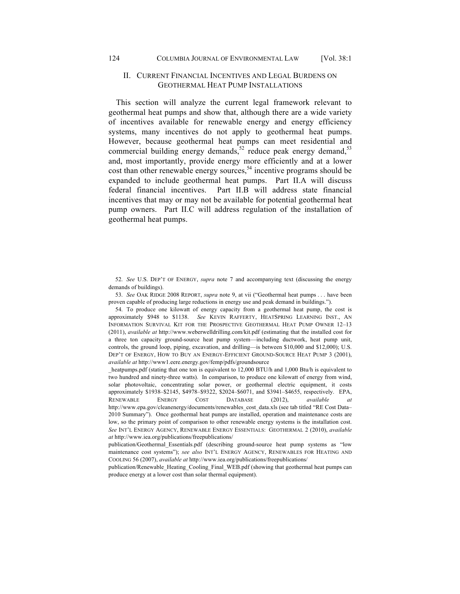## II. CURRENT FINANCIAL INCENTIVES AND LEGAL BURDENS ON GEOTHERMAL HEAT PUMP INSTALLATIONS

This section will analyze the current legal framework relevant to geothermal heat pumps and show that, although there are a wide variety of incentives available for renewable energy and energy efficiency systems, many incentives do not apply to geothermal heat pumps. However, because geothermal heat pumps can meet residential and commercial building energy demands,<sup>52</sup> reduce peak energy demand,<sup>53</sup> and, most importantly, provide energy more efficiently and at a lower cost than other renewable energy sources,  $54$  incentive programs should be expanded to include geothermal heat pumps. Part II.A will discuss federal financial incentives. Part II.B will address state financial incentives that may or may not be available for potential geothermal heat pump owners. Part II.C will address regulation of the installation of geothermal heat pumps.

52. *See* U.S. DEP'T OF ENERGY, *supra* note 7 and accompanying text (discussing the energy demands of buildings).

53. *See* OAK RIDGE 2008 REPORT, *supra* note 9, at vii ("Geothermal heat pumps . . . have been proven capable of producing large reductions in energy use and peak demand in buildings.").

54. To produce one kilowatt of energy capacity from a geothermal heat pump, the cost is approximately \$948 to \$1138. *See* KEVIN RAFFERTY, HEATSPRING LEARNING INST., AN INFORMATION SURVIVAL KIT FOR THE PROSPECTIVE GEOTHERMAL HEAT PUMP OWNER 12–13 (2011), *available at* http://www.weberwelldrilling.com/kit.pdf (estimating that the installed cost for a three ton capacity ground-source heat pump system—including ductwork, heat pump unit, controls, the ground loop, piping, excavation, and drilling—is between \$10,000 and \$12,000); U.S. DEP'T OF ENERGY, HOW TO BUY AN ENERGY-EFFICIENT GROUND-SOURCE HEAT PUMP 3 (2001), *available at* http://www1.eere.energy.gov/femp/pdfs/groundsource

heatpumps.pdf (stating that one ton is equivalent to 12,000 BTU/h and 1,000 Btu/h is equivalent to two hundred and ninety-three watts). In comparison, to produce one kilowatt of energy from wind, solar photovoltaic, concentrating solar power, or geothermal electric equipment, it costs approximately \$1938–\$2145, \$4978–\$9322, \$2024–\$6071, and \$3941–\$4655, respectively. EPA, RENEWABLE ENERGY COST DATABASE (2012), *available at*  http://www.epa.gov/cleanenergy/documents/renewables\_cost\_data.xls (see tab titled "RE Cost Data– 2010 Summary"). Once geothermal heat pumps are installed, operation and maintenance costs are low, so the primary point of comparison to other renewable energy systems is the installation cost. *See* INT'L ENERGY AGENCY, RENEWABLE ENERGY ESSENTIALS: GEOTHERMAL 2 (2010), *available at* http://www.iea.org/publications/freepublications/

publication/Geothermal\_Essentials.pdf (describing ground-source heat pump systems as "low maintenance cost systems"); *see also* INT'L ENERGY AGENCY, RENEWABLES FOR HEATING AND COOLING 56 (2007), *available at* http://www.iea.org/publications/freepublications/

publication/Renewable\_Heating\_Cooling\_Final\_WEB.pdf (showing that geothermal heat pumps can produce energy at a lower cost than solar thermal equipment).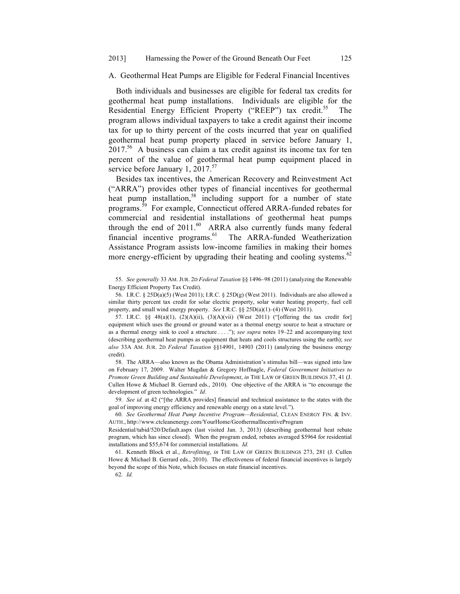A. Geothermal Heat Pumps are Eligible for Federal Financial Incentives

Both individuals and businesses are eligible for federal tax credits for geothermal heat pump installations. Individuals are eligible for the Residential Energy Efficient Property ("REEP") tax credit.<sup>55</sup> The program allows individual taxpayers to take a credit against their income tax for up to thirty percent of the costs incurred that year on qualified geothermal heat pump property placed in service before January 1, 2017.56 A business can claim a tax credit against its income tax for ten percent of the value of geothermal heat pump equipment placed in service before January 1, 2017. $57$ 

Besides tax incentives, the American Recovery and Reinvestment Act ("ARRA") provides other types of financial incentives for geothermal heat pump installation,<sup>58</sup> including support for a number of state programs.59 For example, Connecticut offered ARRA-funded rebates for commercial and residential installations of geothermal heat pumps through the end of  $2011$ .<sup>60</sup> ARRA also currently funds many federal financial incentive programs.<sup>61</sup> The ARRA-funded Weatherization Assistance Program assists low-income families in making their homes more energy-efficient by upgrading their heating and cooling systems.<sup>62</sup>

55. *See generally* 33 AM. JUR. 2D *Federal Taxation* §§ 1496–98 (2011) (analyzing the Renewable Energy Efficient Property Tax Credit).

56. I.R.C. § 25D(a)(5) (West 2011); I.R.C. § 25D(g) (West 2011). Individuals are also allowed a similar thirty percent tax credit for solar electric property, solar water heating property, fuel cell property, and small wind energy property. *See* I.R.C. §§ 25D(a)(1)–(4) (West 2011).

57. I.R.C.  $\&$  48(a)(1), (2)(A)(ii), (3)(A)(vii) (West 2011) ("[offering the tax credit for] equipment which uses the ground or ground water as a thermal energy source to heat a structure or as a thermal energy sink to cool a structure . . . ."); *see supra* notes 19–22 and accompanying text (describing geothermal heat pumps as equipment that heats and cools structures using the earth); *see also* 33A AM. JUR. 2D *Federal Taxation* §§14901, 14903 (2011) (analyzing the business energy credit).

58. The ARRA—also known as the Obama Administration's stimulus bill—was signed into law on February 17, 2009. Walter Mugdan & Gregory Hoffnagle, *Federal Government Initiatives to Promote Green Building and Sustainable Development*, *in* THE LAW OF GREEN BUILDINGS 37, 41 (J. Cullen Howe & Michael B. Gerrard eds., 2010). One objective of the ARRA is "to encourage the development of green technologies." *Id.*

59. *See id.* at 42 ("[the ARRA provides] financial and technical assistance to the states with the goal of improving energy efficiency and renewable energy on a state level.").

60. *See Geothermal Heat Pump Incentive Program—Residential*, CLEAN ENERGY FIN. & INV. AUTH., http://www.ctcleanenergy.com/YourHome/GeothermalIncentiveProgram

Residential/tabid/520/Default.aspx (last visited Jan. 3, 2013) (describing geothermal heat rebate program, which has since closed). When the program ended, rebates averaged \$5964 for residential installations and \$55,674 for commercial installations. *Id.*

61. Kenneth Block et al., *Retrofitting*, *in* THE LAW OF GREEN BUILDINGS 273, 281 (J. Cullen Howe & Michael B. Gerrard eds., 2010). The effectiveness of federal financial incentives is largely beyond the scope of this Note, which focuses on state financial incentives.

62. *Id.*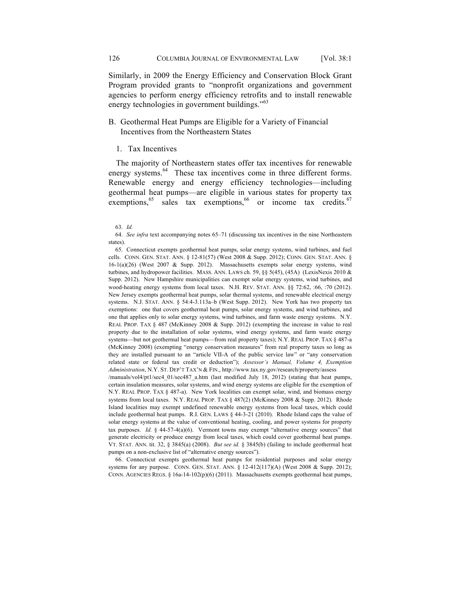Similarly, in 2009 the Energy Efficiency and Conservation Block Grant Program provided grants to "nonprofit organizations and government agencies to perform energy efficiency retrofits and to install renewable energy technologies in government buildings."<sup>63</sup>

## B. Geothermal Heat Pumps are Eligible for a Variety of Financial Incentives from the Northeastern States

1. Tax Incentives

The majority of Northeastern states offer tax incentives for renewable energy systems.<sup>64</sup> These tax incentives come in three different forms. Renewable energy and energy efficiency technologies—including geothermal heat pumps—are eligible in various states for property tax exemptions,  $65$  sales tax exemptions,  $66$  or income tax credits.  $67$ 

65. Connecticut exempts geothermal heat pumps, solar energy systems, wind turbines, and fuel cells. CONN. GEN. STAT. ANN. § 12-81(57) (West 2008 & Supp. 2012); CONN. GEN. STAT. ANN. § 16-1(a)(26) (West 2007 & Supp. 2012). Massachusetts exempts solar energy systems, wind turbines, and hydropower facilities. MASS. ANN. LAWS ch. 59, §§ 5(45), (45A) (LexisNexis 2010  $\&$ Supp. 2012). New Hampshire municipalities can exempt solar energy systems, wind turbines, and wood-heating energy systems from local taxes. N.H. REV. STAT. ANN. §§ 72:62, :66, :70 (2012). New Jersey exempts geothermal heat pumps, solar thermal systems, and renewable electrical energy systems. N.J. STAT. ANN. § 54:4-3.113a–b (West Supp. 2012). New York has two property tax exemptions: one that covers geothermal heat pumps, solar energy systems, and wind turbines, and one that applies only to solar energy systems, wind turbines, and farm waste energy systems. N.Y. REAL PROP. TAX § 487 (McKinney 2008 & Supp. 2012) (exempting the increase in value to real property due to the installation of solar systems, wind energy systems, and farm waste energy systems—but not geothermal heat pumps—from real property taxes); N.Y. REAL PROP. TAX § 487-a (McKinney 2008) (exempting "energy conservation measures" from real property taxes so long as they are installed pursuant to an "article VII-A of the public service law" or "any conservation related state or federal tax credit or deduction"); *Assessor's Manual, Volume 4, Exemption Administration*, N.Y. ST. DEP'T TAX'N & FIN., http://www.tax.ny.gov/research/property/assess

/manuals/vol4/pt1/sec4\_01/sec487\_a.htm (last modified July 18, 2012) (stating that heat pumps, certain insulation measures, solar systems, and wind energy systems are eligible for the exemption of N.Y. REAL PROP. TAX § 487-a). New York localities can exempt solar, wind, and biomass energy systems from local taxes. N.Y. REAL PROP. TAX § 487(2) (McKinney 2008 & Supp. 2012). Rhode Island localities may exempt undefined renewable energy systems from local taxes, which could include geothermal heat pumps. R.I. GEN. LAWS § 44-3-21 (2010). Rhode Island caps the value of solar energy systems at the value of conventional heating, cooling, and power systems for property tax purposes. *Id.* § 44-57-4(a)(6). Vermont towns may exempt "alternative energy sources" that generate electricity or produce energy from local taxes, which could cover geothermal heat pumps. VT. STAT. ANN. tit. 32, § 3845(a) (2008). *But see id.* § 3845(b) (failing to include geothermal heat pumps on a non-exclusive list of "alternative energy sources").

66. Connecticut exempts geothermal heat pumps for residential purposes and solar energy systems for any purpose. CONN. GEN. STAT. ANN. § 12-412(117)(A) (West 2008 & Supp. 2012); CONN. AGENCIES REGS. § 16a-14-102(p)(6) (2011). Massachusetts exempts geothermal heat pumps,

<sup>63.</sup> *Id.*

<sup>64.</sup> *See infra* text accompanying notes 65–71 (discussing tax incentives in the nine Northeastern states).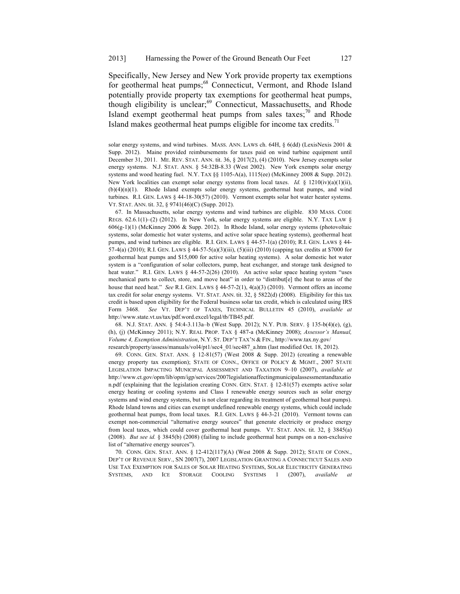Specifically, New Jersey and New York provide property tax exemptions for geothermal heat pumps;<sup>68</sup> Connecticut, Vermont, and Rhode Island potentially provide property tax exemptions for geothermal heat pumps, though eligibility is unclear;<sup>69</sup> Connecticut, Massachusetts, and Rhode Island exempt geothermal heat pumps from sales taxes;<sup>70</sup> and Rhode Island makes geothermal heat pumps eligible for income tax credits. $^{71}$ 

solar energy systems, and wind turbines. MASS. ANN. LAWS ch. 64H, § 6(dd) (LexisNexis 2001 & Supp. 2012). Maine provided reimbursements for taxes paid on wind turbine equipment until December 31, 2011. ME. REV. STAT. ANN. tit. 36, § 2017(2), (4) (2010). New Jersey exempts solar energy systems. N.J. STAT. ANN. § 54:32B-8.33 (West 2002). New York exempts solar energy systems and wood heating fuel. N.Y. TAX  $\S$ § 1105-A(a), 1115(ee) (McKinney 2008 & Supp. 2012). New York localities can exempt solar energy systems from local taxes. *Id.* § 1210(iv)(a)(1)(ii),  $(b)(4)(n)(1)$ . Rhode Island exempts solar energy systems, geothermal heat pumps, and wind turbines. R.I. GEN. LAWS § 44-18-30(57) (2010). Vermont exempts solar hot water heater systems. VT. STAT. ANN. tit. 32, § 9741(46)(C) (Supp. 2012).

67. In Massachusetts, solar energy systems and wind turbines are eligible. 830 MASS. CODE REGS.  $62.6.1(1)$ –(2) (2012). In New York, solar energy systems are eligible. N.Y. TAX LAW § 606(g-1)(1) (McKinney 2006 & Supp. 2012). In Rhode Island, solar energy systems (photovoltaic systems, solar domestic hot water systems, and active solar space heating systems), geothermal heat pumps, and wind turbines are eligible. R.I. GEN. LAWS  $\S$  44-57-1(a) (2010); R.I. GEN. LAWS  $\S$  44-57-4(a) (2010); R.I. GEN. LAWS § 44-57-5(a)(3)(iii), (5)(iii) (2010) (capping tax credits at \$7000 for geothermal heat pumps and \$15,000 for active solar heating systems). A solar domestic hot water system is a "configuration of solar collectors, pump, heat exchanger, and storage tank designed to heat water." R.I. GEN. LAWS § 44-57-2(26) (2010). An active solar space heating system "uses mechanical parts to collect, store, and move heat" in order to "distribut[e] the heat to areas of the house that need heat." *See* R.I. GEN. LAWS § 44-57-2(1), 4(a)(3) (2010). Vermont offers an income tax credit for solar energy systems. VT. STAT. ANN. tit. 32, § 5822(d) (2008). Eligibility for this tax credit is based upon eligibility for the Federal business solar tax credit, which is calculated using IRS Form 3468. *See* VT. DEP'T OF TAXES, TECHNICAL BULLETIN 45 (2010), *available at*  http://www.state.vt.us/tax/pdf.word.excel/legal/tb/TB45.pdf.

68. N.J. STAT. ANN. § 54:4-3.113a–b (West Supp. 2012); N.Y. PUB. SERV. § 135-b(4)(e), (g), (h), (j) (McKinney 2011); N.Y. REAL PROP. TAX § 487-a (McKinney 2008); *Assessor's Manual, Volume 4, Exemption Administration*, N.Y. ST. DEP'T TAX'N & FIN., http://www.tax.ny.gov/ research/property/assess/manuals/vol4/pt1/sec4\_01/sec487\_a.htm (last modified Oct. 18, 2012).

69. CONN. GEN. STAT. ANN. § 12-81(57) (West 2008 & Supp. 2012) (creating a renewable energy property tax exemption); STATE OF CONN., OFFICE OF POLICY & MGMT., 2007 STATE LEGISLATION IMPACTING MUNICIPAL ASSESSMENT AND TAXATION 9–10 (2007), *available at*  http://www.ct.gov/opm/lib/opm/igp/services/2007legislationaffectingmunicipalassessmentandtaxatio n.pdf (explaining that the legislation creating CONN. GEN. STAT. § 12-81(57) exempts active solar energy heating or cooling systems and Class I renewable energy sources such as solar energy systems and wind energy systems, but is not clear regarding its treatment of geothermal heat pumps). Rhode Island towns and cities can exempt undefined renewable energy systems, which could include geothermal heat pumps, from local taxes. R.I. GEN. LAWS § 44-3-21 (2010). Vermont towns can exempt non-commercial "alternative energy sources" that generate electricity or produce energy from local taxes, which could cover geothermal heat pumps. VT. STAT. ANN. tit. 32, § 3845(a) (2008). *But see id.* § 3845(b) (2008) (failing to include geothermal heat pumps on a non-exclusive list of "alternative energy sources").

70. CONN. GEN. STAT. ANN. § 12-412(117)(A) (West 2008 & Supp. 2012); STATE OF CONN., DEP'T OF REVENUE SERV., SN 2007(7), 2007 LEGISLATION GRANTING A CONNECTICUT SALES AND USE TAX EXEMPTION FOR SALES OF SOLAR HEATING SYSTEMS, SOLAR ELECTRICITY GENERATING SYSTEMS, AND ICE STORAGE COOLING SYSTEMS 1 (2007), *available at*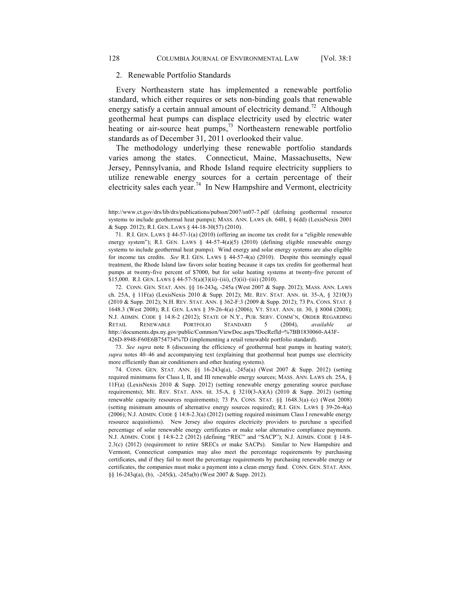#### 2. Renewable Portfolio Standards

Every Northeastern state has implemented a renewable portfolio standard, which either requires or sets non-binding goals that renewable energy satisfy a certain annual amount of electricity demand.<sup>72</sup> Although geothermal heat pumps can displace electricity used by electric water heating or air-source heat pumps,  $\frac{73}{12}$  Northeastern renewable portfolio standards as of December 31, 2011 overlooked their value.

The methodology underlying these renewable portfolio standards varies among the states. Connecticut, Maine, Massachusetts, New Jersey, Pennsylvania, and Rhode Island require electricity suppliers to utilize renewable energy sources for a certain percentage of their electricity sales each year.<sup>74</sup> In New Hampshire and Vermont, electricity

71. R.I. GEN. LAWS § 44-57-1(a) (2010) (offering an income tax credit for a "eligible renewable energy system"); R.I. GEN. LAWS § 44-57-4(a)(5) (2010) (defining eligible renewable energy systems to include geothermal heat pumps). Wind energy and solar energy systems are also eligible for income tax credits. *See* R.I. GEN. LAWS § 44-57-4(a) (2010). Despite this seemingly equal treatment, the Rhode Island law favors solar heating because it caps tax credits for geothermal heat pumps at twenty-five percent of \$7000, but for solar heating systems at twenty-five percent of \$15,000. R.I. GEN. LAWS § 44-57-5(a)(3)(ii)–(iii), (5)(ii)–(iii) (2010).

72. CONN. GEN. STAT. ANN. §§ 16-243q, -245a (West 2007 & Supp. 2012); MASS. ANN. LAWS ch. 25A, § 11F(a) (LexisNexis 2010 & Supp. 2012); ME. REV. STAT. ANN. tit. 35-A, § 3210(3) (2010 & Supp. 2012); N.H. REV. STAT. ANN. § 362-F:3 (2009 & Supp. 2012); 73 PA. CONS. STAT. § 1648.3 (West 2008); R.I. GEN. LAWS § 39-26-4(a) (2006); VT. STAT. ANN. tit. 30, § 8004 (2008); N.J. ADMIN. CODE § 14:8-2 (2012); STATE OF N.Y., PUB. SERV. COMM'N, ORDER REGARDING RETAIL RENEWABLE PORTFOLIO STANDARD 5 (2004), *available* http://documents.dps.ny.gov/public/Common/ViewDoc.aspx?DocRefId=%7BB1830060-A43F-426D-8948-F60E6B754734%7D (implementing a retail renewable portfolio standard).

73. *See supra* note 8 (discussing the efficiency of geothermal heat pumps in heating water); *supra* notes 40–46 and accompanying text (explaining that geothermal heat pumps use electricity more efficiently than air conditioners and other heating systems).

74. CONN. GEN. STAT. ANN. §§ 16-243q(a), -245a(a) (West 2007 & Supp. 2012) (setting required minimums for Class I, II, and III renewable energy sources; MASS. ANN. LAWS ch. 25A, § 11F(a) (LexisNexis 2010 & Supp. 2012) (setting renewable energy generating source purchase requirements); ME. REV. STAT. ANN. tit. 35-A, § 3210(3-A)(A) (2010 & Supp. 2012) (setting renewable capacity resources requirements); 73 PA. CONS. STAT. §§ 1648.3(a)–(c) (West 2008) (setting minimum amounts of alternative energy sources required); R.I. GEN. LAWS § 39-26-4(a) (2006); N.J. ADMIN. CODE § 14:8-2.3(a) (2012) (setting required minimum Class I renewable energy resource acquisitions). New Jersey also requires electricity providers to purchase a specified percentage of solar renewable energy certificates or make solar alternative compliance payments. N.J. ADMIN. CODE § 14:8-2.2 (2012) (defining "REC" and "SACP"); N.J. ADMIN. CODE § 14:8- 2.3(c) (2012) (requirement to retire SRECs or make SACPs). Similar to New Hampshire and Vermont, Connecticut companies may also meet the percentage requirements by purchasing certificates, and if they fail to meet the percentage requirements by purchasing renewable energy or certificates, the companies must make a payment into a clean energy fund. CONN. GEN. STAT. ANN. §§ 16-243q(a), (b), -245(k), -245a(b) (West 2007 & Supp. 2012).

http://www.ct.gov/drs/lib/drs/publications/pubssn/2007/sn07-7.pdf (defining geothermal resource systems to include geothermal heat pumps); MASS. ANN. LAWS ch. 64H, § 6(dd) (LexisNexis 2001 & Supp. 2012); R.I. GEN. LAWS § 44-18-30(57) (2010).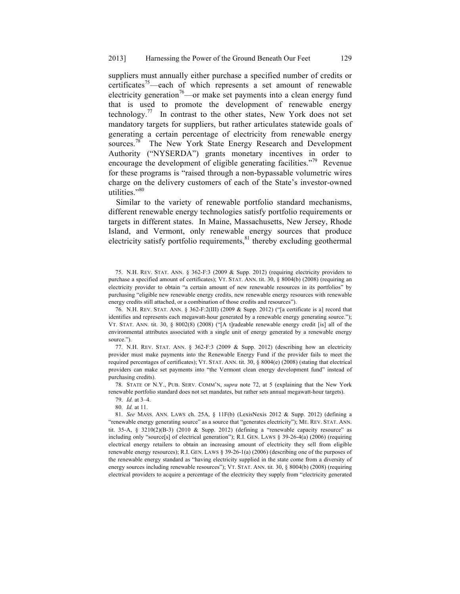suppliers must annually either purchase a specified number of credits or certificates<sup>75</sup>—each of which represents a set amount of renewable electricity generation<sup>76</sup>—or make set payments into a clean energy fund that is used to promote the development of renewable energy technology.<sup>77</sup> In contrast to the other states, New York does not set mandatory targets for suppliers, but rather articulates statewide goals of generating a certain percentage of electricity from renewable energy sources.<sup>78</sup> The New York State Energy Research and Development Authority ("NYSERDA") grants monetary incentives in order to encourage the development of eligible generating facilities."<sup>79</sup> Revenue for these programs is "raised through a non-bypassable volumetric wires charge on the delivery customers of each of the State's investor-owned utilities."<sup>80</sup>

Similar to the variety of renewable portfolio standard mechanisms, different renewable energy technologies satisfy portfolio requirements or targets in different states. In Maine, Massachusetts, New Jersey, Rhode Island, and Vermont, only renewable energy sources that produce electricity satisfy portfolio requirements, $81$  thereby excluding geothermal

76. N.H. REV. STAT. ANN. § 362-F:2(III) (2009 & Supp. 2012) ("[a certificate is a] record that identifies and represents each megawatt-hour generated by a renewable energy generating source."); VT. STAT. ANN. tit. 30, § 8002(8) (2008) ("[A t]radeable renewable energy credit [is] all of the environmental attributes associated with a single unit of energy generated by a renewable energy source.").

77. N.H. REV. STAT. ANN. § 362-F:3 (2009 & Supp. 2012) (describing how an electricity provider must make payments into the Renewable Energy Fund if the provider fails to meet the required percentages of certificates); VT. STAT. ANN. tit. 30, § 8004(e) (2008) (stating that electrical providers can make set payments into "the Vermont clean energy development fund" instead of purchasing credits).

78. STATE OF N.Y., PUB. SERV. COMM'N, *supra* note 72, at 5 (explaining that the New York renewable portfolio standard does not set mandates, but rather sets annual megawatt-hour targets).

79. *Id.* at 3–4.

80. *Id.* at 11.

81. *See* MASS. ANN. LAWS ch. 25A, § 11F(b) (LexisNexis 2012 & Supp. 2012) (defining a "renewable energy generating source" as a source that "generates electricity"); ME. REV. STAT. ANN. tit. 35-A, § 3210(2)(B-3) (2010 & Supp. 2012) (defining a "renewable capacity resource" as including only "source[s] of electrical generation"); R.I. GEN. LAWS § 39-26-4(a) (2006) (requiring electrical energy retailers to obtain an increasing amount of electricity they sell from eligible renewable energy resources); R.I. GEN. LAWS  $\S$  39-26-1(a) (2006) (describing one of the purposes of the renewable energy standard as "having electricity supplied in the state come from a diversity of energy sources including renewable resources"); VT. STAT. ANN. tit. 30, § 8004(b) (2008) (requiring electrical providers to acquire a percentage of the electricity they supply from "electricity generated

<sup>75.</sup> N.H. REV. STAT. ANN. § 362-F:3 (2009 & Supp. 2012) (requiring electricity providers to purchase a specified amount of certificates); VT. STAT. ANN. tit. 30, § 8004(b) (2008) (requiring an electricity provider to obtain "a certain amount of new renewable resources in its portfolios" by purchasing "eligible new renewable energy credits, new renewable energy resources with renewable energy credits still attached, or a combination of those credits and resources").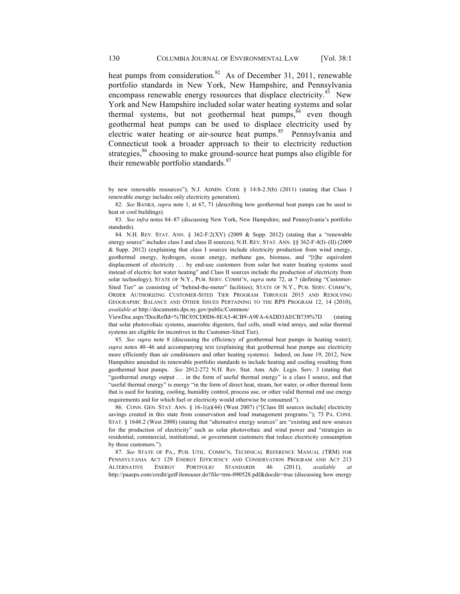heat pumps from consideration.<sup>82</sup> As of December 31, 2011, renewable portfolio standards in New York, New Hampshire, and Pennsylvania encompass renewable energy resources that displace electricity.<sup>83</sup> New York and New Hampshire included solar water heating systems and solar thermal systems, but not geothermal heat pumps, <sup>84</sup> even though geothermal heat pumps can be used to displace electricity used by electric water heating or air-source heat pumps.<sup>85</sup> Pennsylvania and Connecticut took a broader approach to their to electricity reduction strategies,<sup>86</sup> choosing to make ground-source heat pumps also eligible for their renewable portfolio standards.<sup>87</sup>

82. *See* BANKS, *supra* note 1, at 67, 71 (describing how geothermal heat pumps can be used to heat or cool buildings).

83. *See infra* notes 84–87 (discussing New York, New Hampshire, and Pennsylvania's portfolio standards).

84. N.H. REV. STAT. ANN. § 362-F:2(XV) (2009 & Supp. 2012) (stating that a "renewable energy source" includes class I and class II sources); N.H. REV. STAT. ANN. §§ 362-F:4(I)–(II) (2009 & Supp. 2012) (explaining that class I sources include electricity production from wind energy, geothermal energy, hydrogen, ocean energy, methane gas, biomass, and "[t]he equivalent displacement of electricity . . . by end-use customers from solar hot water heating systems used instead of electric hot water heating" and Class II sources include the production of electricity from solar technology); STATE OF N.Y., PUB. SERV. COMM'N, *supra* note 72, at 7 (defining "Customer-Sited Tier" as consisting of "behind-the-meter" facilities); STATE OF N.Y., PUB. SERV. COMM'N, ORDER AUTHORIZING CUSTOMER-SITED TIER PROGRAM THROUGH 2015 AND RESOLVING GEOGRAPHIC BALANCE AND OTHER ISSUES PERTAINING TO THE RPS PROGRAM 12, 14 (2010), *available at* http://documents.dps.ny.gov/public/Common/

ViewDoc.aspx?DocRefId=%7BC05CD0D6-8EA5-4CB9-A9FA-6ADD3AECB739%7D (stating that solar photovoltaic systems, anaerobic digesters, fuel cells, small wind arrays, and solar thermal systems are eligible for incentives in the Customer-Sited Tier).

85. *See supra* note 8 (discussing the efficiency of geothermal heat pumps in heating water); *supra* notes 40–46 and accompanying text (explaining that geothermal heat pumps use electricity more efficiently than air conditioners and other heating systems). Indeed, on June 19, 2012, New Hampshire amended its renewable portfolio standards to include heating and cooling resulting from geothermal heat pumps. *See* 2012-272 N.H. Rev. Stat. Ann. Adv. Legis. Serv. 3 (stating that "geothermal energy output . . . in the form of useful thermal energy" is a class I source, and that "useful thermal energy" is energy "in the form of direct heat, steam, hot water, or other thermal form that is used for heating, cooling, humidity control, process use, or other valid thermal end use energy requirements and for which fuel or electricity would otherwise be consumed.").

86. CONN. GEN. STAT. ANN. § 16-1(a)(44) (West 2007) ("[Class III sources include] electricity savings created in this state from conservation and load management programs."); 73 PA. CONS. STAT. § 1648.2 (West 2008) (stating that "alternative energy sources" are "existing and new sources for the production of electricity" such as solar photovoltaic and wind power and "strategies in residential, commercial, institutional, or government customers that reduce electricity consumption by those customers.").

87. *See* STATE OF PA., PUB. UTIL. COMM'N, TECHNICAL REFERENCE MANUAL (TRM) FOR PENNSYLVANIA ACT 129 ENERGY EFFICIENCY AND CONSERVATION PROGRAM AND ACT 213 ALTERNATIVE ENERGY PORTFOLIO STANDARDS 46 (2011), *available* http://paaeps.com/credit/getFilenouser.do?file=trm-090528.pdf&docdir=true (discussing how energy

by new renewable resources"); N.J. ADMIN. CODE § 14:8-2.5(b) (2011) (stating that Class I renewable energy includes only electricity generation).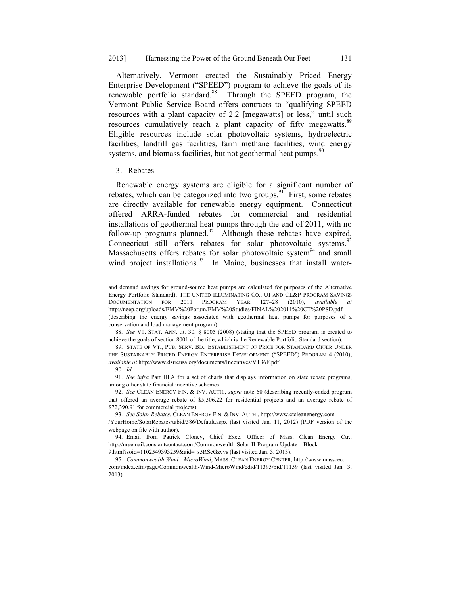Alternatively, Vermont created the Sustainably Priced Energy Enterprise Development ("SPEED") program to achieve the goals of its renewable portfolio standard.<sup>88</sup> Through the SPEED program, the Vermont Public Service Board offers contracts to "qualifying SPEED resources with a plant capacity of 2.2 [megawatts] or less," until such resources cumulatively reach a plant capacity of fifty megawatts.<sup>89</sup> Eligible resources include solar photovoltaic systems, hydroelectric facilities, landfill gas facilities, farm methane facilities, wind energy systems, and biomass facilities, but not geothermal heat pumps.<sup>90</sup>

#### 3. Rebates

Renewable energy systems are eligible for a significant number of rebates, which can be categorized into two groups.<sup>91</sup> First, some rebates are directly available for renewable energy equipment. Connecticut offered ARRA-funded rebates for commercial and residential installations of geothermal heat pumps through the end of 2011, with no follow-up programs planned.<sup>92</sup> Although these rebates have expired, Connecticut still offers rebates for solar photovoltaic systems.<sup>93</sup> Massachusetts offers rebates for solar photovoltaic system<sup>94</sup> and small wind project installations. $95$  In Maine, businesses that install water-

88. *See* VT. STAT. ANN. tit. 30, § 8005 (2008) (stating that the SPEED program is created to achieve the goals of section 8001 of the title, which is the Renewable Portfolio Standard section).

89. STATE OF VT., PUB. SERV. BD., ESTABLISHMENT OF PRICE FOR STANDARD OFFER UNDER THE SUSTAINABLY PRICED ENERGY ENTERPRISE DEVELOPMENT ("SPEED") PROGRAM 4 (2010), *available at* http://www.dsireusa.org/documents/Incentives/VT36F.pdf.

90. *Id.*

91. *See infra* Part III.A for a set of charts that displays information on state rebate programs, among other state financial incentive schemes.

92. *See* CLEAN ENERGY FIN. & INV. AUTH., *supra* note 60 (describing recently-ended program that offered an average rebate of \$5,306.22 for residential projects and an average rebate of \$72,390.91 for commercial projects).

93. *See Solar Rebates*, CLEAN ENERGY FIN. & INV. AUTH., http://www.ctcleanenergy.com

/YourHome/SolarRebates/tabid/586/Default.aspx (last visited Jan. 11, 2012) (PDF version of the webpage on file with author).

94. Email from Patrick Cloney, Chief Exec. Officer of Mass. Clean Energy Ctr., http://myemail.constantcontact.com/Commonwealth-Solar-II-Program-Update—Block-

9.html?soid=1102549393259&aid=\_s5RScGzvvs (last visited Jan. 3, 2013).

95. *Commonwealth Wind—MicroWind*, MASS. CLEAN ENERGY CENTER, http://www.masscec. com/index.cfm/page/Commonwealth-Wind-MicroWind/cdid/11395/pid/11159 (last visited Jan. 3, 2013).

and demand savings for ground-source heat pumps are calculated for purposes of the Alternative Energy Portfolio Standard); THE UNITED ILLUMINATING CO., UI AND CL&P PROGRAM SAVINGS DOCUMENTATION FOR 2011 PROGRAM YEAR 127–28 (2010), *available at*  http://neep.org/uploads/EMV%20Forum/EMV%20Studies/FINAL%202011%20CT%20PSD.pdf (describing the energy savings associated with geothermal heat pumps for purposes of a conservation and load management program).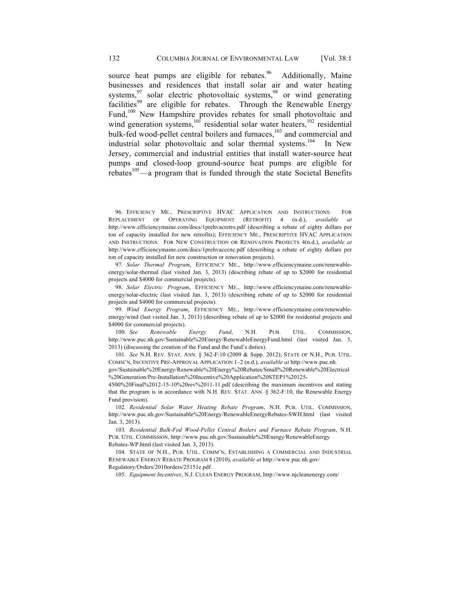source heat pumps are eligible for rebates.  $46$  Additionally, Maine businesses and residences that install solar air and water heating systems,  $97$  solar electric photovoltaic systems,  $98$  or wind generating  $f_{\text{accilities}}^{99}$  are eligible for rebates. Through the Renewable Energy Fund,<sup>100</sup> New Hampshire provides rebates for small photovoltaic and wind generation systems, $10^{\circ}$  residential solar water heaters,  $10^{\circ}$  residential bulk-fed wood-pellet central boilers and furnaces,<sup>103</sup> and commercial and industrial solar photovoltaic and solar thermal systems.<sup>104</sup> In New Jersey, commercial and industrial entities that install water-source heat pumps and closed-loop ground-source heat pumps are eligible for rebates $105$ —a program that is funded through the state Societal Benefits

96. EFFICIENCY ME., PRESCRIPTIVE HVAC APPLICATION AND INSTRUCTIONS: FOR REPLACEMENT OF OPERATING EQUIPMENT (RETROFIT) 4 (n.d.), *available at* http://www.efficiencymaine.com/docs/1prehvacretro.pdf (describing a rebate of eighty dollars per ton of capacity installed for new retrofits); EFFICIENCY ME., PRESCRIPTIVE HVAC APPLICATION AND INSTRUCTIONS: FOR NEW CONSTRUCTION OR RENOVATION PROJECTS 4(n.d.), *available at*  http://www.efficiencymaine.com/docs/1prehvacccnc.pdf (describing a rebate of eighty dollars per ton of capacity installed for new construction or renovation projects).

97. *Solar Thermal Program*, EFFICIENCY ME., http://www.efficiencymaine.com/renewableenergy/solar-thermal (last visited Jan. 3, 2013) (describing rebate of up to \$2000 for residential projects and \$4000 for commercial projects).

98. *Solar Electric Program*, EFFICIENCY ME., http://www.efficiencymaine.com/renewableenergy/solar-electric (last visited Jan. 3, 2013) (describing rebate of up to \$2000 for residential projects and \$4000 for commercial projects).

99. *Wind Energy Program*, EFFICIENCY ME., http://www.efficiencymaine.com/renewableenergy/wind (last visited Jan. 3, 2013) (describing rebate of up to \$2000 for residential projects and \$4000 for commercial projects).

100. *See Renewable Energy Fund*, N.H. PUB. UTIL. COMMISSION, http://www.puc.nh.gov/Sustainable%20Energy/RenewableEnergyFund.html (last visited Jan. 3, 2013) (discussing the creation of the Fund and the Fund's duties).

101. *See* N.H. REV. STAT. ANN. § 362-F:10 (2009 & Supp. 2012); STATE OF N.H., PUB. UTIL. COMM'N, INCENTIVE PRE-APPROVAL APPLICATION 1–2 (n.d.), *available at* http://www.puc.nh.

gov/Sustainable%20Energy/Renewable%20Energy%20Rebates/Small%20Renewable%20Electrical %20Generation/Pre-Installation%20Incentive%20Application%20STEP1%20125-

4500%20Final%2012-15-10%20rev%2011-11.pdf (describing the maximum incentives and stating that the program is in accordance with N.H. REV. STAT. ANN. § 362-F:10, the Renewable Energy Fund provision).

102. *Residential Solar Water Heating Rebate Program*, N.H. PUB. UTIL. COMMISSION, http://www.puc.nh.gov/Sustainable%20Energy/RenewableEnergyRebates-SWH.html (last visited Jan. 3, 2013).

103. *Residential Bulk-Fed Wood-Pellet Central Boilers and Furnace Rebate Program*, N.H. PUB. UTIL. COMMISSION, http://www.puc.nh.gov/Sustainable%20Energy/RenewableEnergy Rebates-WP.html (last visited Jan. 3, 2013).

104. STATE OF N.H., PUB. UTIL. COMM'N, ESTABLISHING A COMMERCIAL AND INDUSTRIAL RENEWABLE ENERGY REBATE PROGRAM 8 (2010), *available at* http://www.puc.nh.gov/ Regulatory/Orders/2010orders/25151e.pdf.

105. *Equipment Incentives*, N.J. CLEAN ENERGY PROGRAM, http://www.njcleanenergy.com/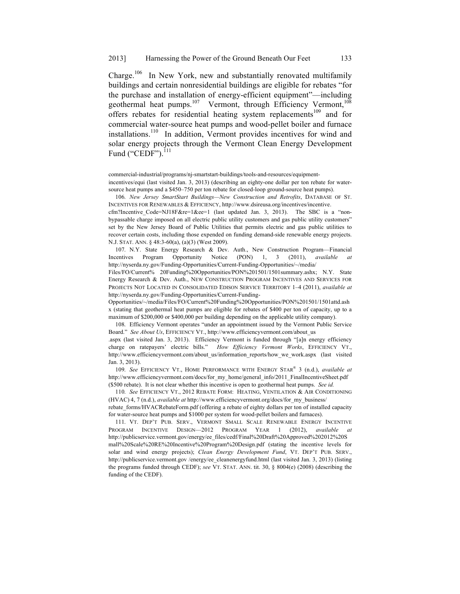Charge.<sup>106</sup> In New York, new and substantially renovated multifamily buildings and certain nonresidential buildings are eligible for rebates "for the purchase and installation of energy-efficient equipment"—including geothermal heat pumps.<sup>107</sup> Vermont, through Efficiency Vermont,<sup>108</sup> offers rebates for residential heating system replacements<sup>109</sup> and for commercial water-source heat pumps and wood-pellet boiler and furnace installations.<sup>110</sup> In addition, Vermont provides incentives for wind and solar energy projects through the Vermont Clean Energy Development Fund ("CEDF"). $^{111}$ 

commercial-industrial/programs/nj-smartstart-buildings/tools-and-resources/equipmentincentives/equi (last visited Jan. 3, 2013) (describing an eighty-one dollar per ton rebate for watersource heat pumps and a \$450–750 per ton rebate for closed-loop ground-source heat pumps).

106. *New Jersey SmartStart Buildings—New Construction and Retrofits*, DATABASE OF ST. INCENTIVES FOR RENEWABLES & EFFICIENCY, http://www.dsireusa.org/incentives/incentive.

cfm?Incentive Code=NJ18F&re=1&ee=1 (last updated Jan. 3, 2013). The SBC is a "nonbypassable charge imposed on all electric public utility customers and gas public utility customers" set by the New Jersey Board of Public Utilities that permits electric and gas public utilities to recover certain costs, including those expended on funding demand-side renewable energy projects. N.J. STAT. ANN. § 48:3-60(a), (a)(3) (West 2009).

107. N.Y. State Energy Research & Dev. Auth., New Construction Program—Financial Incentives Program Opportunity Notice (PON) 1, 3 (2011), *available* http://nyserda.ny.gov/Funding-Opportunities/Current-Funding-Opportunities/~/media/

Files/FO/Current% 20Funding%20Opportunities/PON%201501/1501summary.ashx; N.Y. State Energy Research & Dev. Auth., NEW CONSTRUCTION PROGRAM INCENTIVES AND SERVICES FOR PROJECTS NOT LOCATED IN CONSOLIDATED EDISON SERVICE TERRITORY 1–4 (2011), *available at*  http://nyserda.ny.gov/Funding-Opportunities/Current-Funding-

Opportunities/~/media/Files/FO/Current%20Funding%20Opportunities/PON%201501/1501attd.ash x (stating that geothermal heat pumps are eligible for rebates of \$400 per ton of capacity, up to a maximum of \$200,000 or \$400,000 per building depending on the applicable utility company).

108. Efficiency Vermont operates "under an appointment issued by the Vermont Public Service Board." *See About Us*, EFFICIENCY VT., http://www.efficiencyvermont.com/about\_us

.aspx (last visited Jan. 3, 2013). Efficiency Vermont is funded through "[a]n energy efficiency charge on ratepayers' electric bills." *How Efficiency Vermont Works*, EFFICIENCY VT., http://www.efficiencyvermont.com/about\_us/information\_reports/how\_we\_work.aspx (last visited Jan. 3, 2013).

109. *See* EFFICIENCY VT., HOME PERFORMANCE WITH ENERGY STAR® 3 (n.d.), *available at* http://www.efficiencyvermont.com/docs/for\_my\_home/general\_info/2011\_FinalIncentiveSheet.pdf (\$500 rebate). It is not clear whether this incentive is open to geothermal heat pumps. *See id.*

110. *See* EFFICIENCY VT., 2012 REBATE FORM: HEATING, VENTILATION & AIR CONDITIONING (HVAC) 4, 7 (n.d.), *available at* http://www.efficiencyvermont.org/docs/for\_my\_business/ rebate forms/HVACRebateForm.pdf (offering a rebate of eighty dollars per ton of installed capacity for water-source heat pumps and \$1000 per system for wood-pellet boilers and furnaces).

111. VT. DEP'T PUB. SERV., VERMONT SMALL SCALE RENEWABLE ENERGY INCENTIVE PROGRAM INCENTIVE DESIGN—2012 PROGRAM YEAR 1 (2012), *available at*  http://publicservice.vermont.gov/energy/ee\_files/cedf/Final%20Draft%20Approved%202012%20S mall%20Scale%20RE%20Incentive%20Program%20Design.pdf (stating the incentive levels for solar and wind energy projects); *Clean Energy Development Fund*, VT. DEP'T PUB. SERV., http://publicservice.vermont.gov /energy/ee\_cleanenergyfund.html (last visited Jan. 3, 2013) (listing the programs funded through CEDF); *see* VT. STAT. ANN. tit. 30, § 8004(e) (2008) (describing the funding of the CEDF).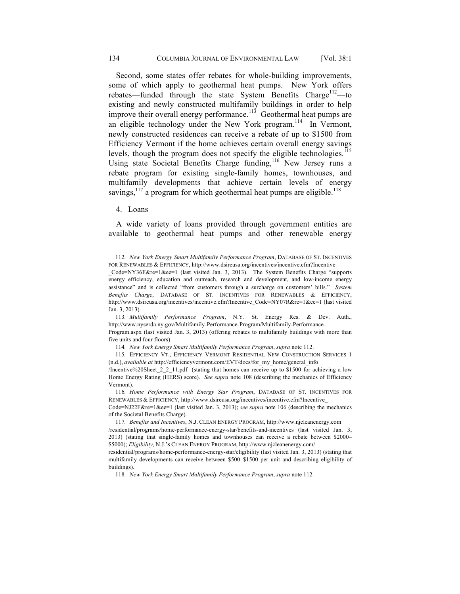Second, some states offer rebates for whole-building improvements, some of which apply to geothermal heat pumps. New York offers rebates—funded through the state System Benefits Charge<sup>112</sup>—to existing and newly constructed multifamily buildings in order to help improve their overall energy performance.<sup>113</sup> Geothermal heat pumps are an eligible technology under the New York program.<sup>114</sup> In Vermont, newly constructed residences can receive a rebate of up to \$1500 from Efficiency Vermont if the home achieves certain overall energy savings levels, though the program does not specify the eligible technologies.<sup>115</sup> Using state Societal Benefits Charge funding,<sup>116</sup> New Jersey runs a rebate program for existing single-family homes, townhouses, and multifamily developments that achieve certain levels of energy savings,  $117$  a program for which geothermal heat pumps are eligible.<sup>118</sup>

4. Loans

A wide variety of loans provided through government entities are available to geothermal heat pumps and other renewable energy

\_Code=NY36F&re=1&ee=1 (last visited Jan. 3, 2013). The System Benefits Charge "supports energy efficiency, education and outreach, research and development, and low-income energy assistance" and is collected "from customers through a surcharge on customers' bills." *System Benefits Charge*, DATABASE OF ST. INCENTIVES FOR RENEWABLES & EFFICIENCY, http://www.dsireusa.org/incentives/incentive.cfm?Incentive\_Code=NY07R&re=1&ee=1 (last visited Jan. 3, 2013).

113. *Multifamily Performance Program*, N.Y. St. Energy Res. & Dev. Auth., http://www.nyserda.ny.gov/Multifamily-Performance-Program/Multifamily-Performance-

Program.aspx (last visited Jan. 3, 2013) (offering rebates to multifamily buildings with more than five units and four floors).

114. *New York Energy Smart Multifamily Performance Program*, *supra* note 112.

115*.* EFFICIENCY VT., EFFICIENCY VERMONT RESIDENTIAL NEW CONSTRUCTION SERVICES 1 (n.d.), *available at* http://efficiencyvermont.com/EVT/docs/for\_my\_home/general\_info

/Incentive%20Sheet\_2\_2\_11.pdf (stating that homes can receive up to \$1500 for achieving a low Home Energy Rating (HERS) score). *See supra* note 108 (describing the mechanics of Efficiency Vermont).

116. *Home Performance with Energy Star Program*, DATABASE OF ST. INCENTIVES FOR RENEWABLES & EFFICIENCY, http://www.dsireusa.org/incentives/incentive.cfm?Incentive\_

Code=NJ22F&re=1&ee=1 (last visited Jan. 3, 2013); *see supra* note 106 (describing the mechanics of the Societal Benefits Charge).

117. *Benefits and Incentives*, N.J. CLEAN ENERGY PROGRAM, http://www.njcleanenergy.com /residential/programs/home-performance-energy-star/benefits-and-incentives (last visited Jan. 3, 2013) (stating that single-family homes and townhouses can receive a rebate between \$2000– \$5000); *Eligibility*, N.J.'S CLEAN ENERGY PROGRAM, http://www.njcleanenergy.com/

residential/programs/home-performance-energy-star/eligibility (last visited Jan. 3, 2013) (stating that multifamily developments can receive between \$500–\$1500 per unit and describing eligibility of buildings).

118. *New York Energy Smart Multifamily Performance Program*, *supra* note 112.

<sup>112.</sup> *New York Energy Smart Multifamily Performance Program*, DATABASE OF ST. INCENTIVES FOR RENEWABLES & EFFICIENCY, http://www.dsireusa.org/incentives/incentive.cfm?Incentive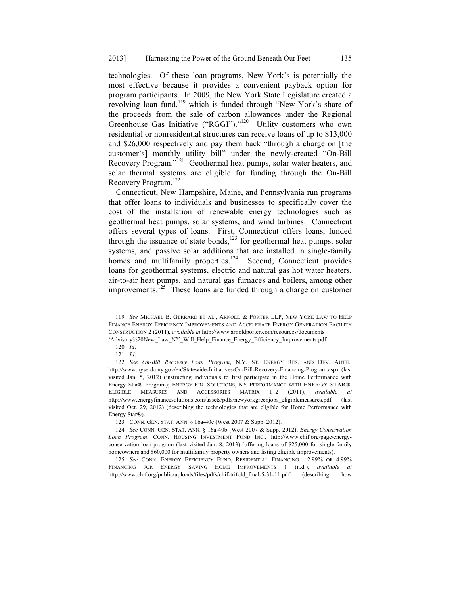technologies. Of these loan programs, New York's is potentially the most effective because it provides a convenient payback option for program participants. In 2009, the New York State Legislature created a revolving loan fund,<sup>119</sup> which is funded through "New York's share of the proceeds from the sale of carbon allowances under the Regional Greenhouse Gas Initiative ("RGGI")."<sup>120</sup> Utility customers who own residential or nonresidential structures can receive loans of up to \$13,000 and \$26,000 respectively and pay them back "through a charge on [the customer's] monthly utility bill" under the newly-created "On-Bill Recovery Program."121 Geothermal heat pumps, solar water heaters, and solar thermal systems are eligible for funding through the On-Bill Recovery Program.122

Connecticut, New Hampshire, Maine, and Pennsylvania run programs that offer loans to individuals and businesses to specifically cover the cost of the installation of renewable energy technologies such as geothermal heat pumps, solar systems, and wind turbines. Connecticut offers several types of loans. First, Connecticut offers loans, funded through the issuance of state bonds,<sup>123</sup> for geothermal heat pumps, solar systems, and passive solar additions that are installed in single-family homes and multifamily properties.<sup>124</sup> Second, Connecticut provides loans for geothermal systems, electric and natural gas hot water heaters, air-to-air heat pumps, and natural gas furnaces and boilers, among other improvements.<sup>125</sup> These loans are funded through a charge on customer

/Advisory%20New\_Law\_NY\_Will\_Help\_Finance\_Energy\_Efficiency\_Improvements.pdf.

122. *See On-Bill Recovery Loan Program*, N.Y. ST. ENERGY RES. AND DEV. AUTH., http://www.nyserda.ny.gov/en/Statewide-Initiatives/On-Bill-Recovery-Financing-Program.aspx (last visited Jan. 5, 2012) (instructing individuals to first participate in the Home Performance with Energy Star® Program); ENERGY FIN. SOLUTIONS, NY PERFORMANCE WITH ENERGY STAR®: ELIGIBLE MEASURES AND ACCESSORIES MATRIX 1–2 (2011), *available at*  http://www.energyfinancesolutions.com/assets/pdfs/newyorkgreenjobs\_eligiblemeasures.pdf (last visited Oct. 29, 2012) (describing the technologies that are eligible for Home Performance with Energy Star®).

123. CONN. GEN. STAT. ANN. § 16a-40c (West 2007 & Supp. 2012).

125. *See* CONN. ENERGY EFFICIENCY FUND, RESIDENTIAL FINANCING: 2.99% OR 4.99% FINANCING FOR ENERGY SAVING HOME IMPROVEMENTS 1 (n.d.), *available at* http://www.chif.org/public/uploads/files/pdfs/chif-trifold final-5-31-11.pdf (describing how

<sup>119.</sup> *See* MICHAEL B. GERRARD ET AL., ARNOLD & PORTER LLP, NEW YORK LAW TO HELP FINANCE ENERGY EFFICIENCY IMPROVEMENTS AND ACCELERATE ENERGY GENERATION FACILITY CONSTRUCTION 2 (2011), *available at* http://www.arnoldporter.com/resources/documents

<sup>120.</sup> *Id*.

<sup>121.</sup> *Id*.

<sup>124.</sup> *See* CONN. GEN. STAT. ANN. § 16a-40b (West 2007 & Supp. 2012); *Energy Conservation Loan Program*, CONN. HOUSING INVESTMENT FUND INC., http://www.chif.org/page/energyconservation-loan-program (last visited Jan. 8, 2013) (offering loans of \$25,000 for single-family homeowners and \$60,000 for multifamily property owners and listing eligible improvements).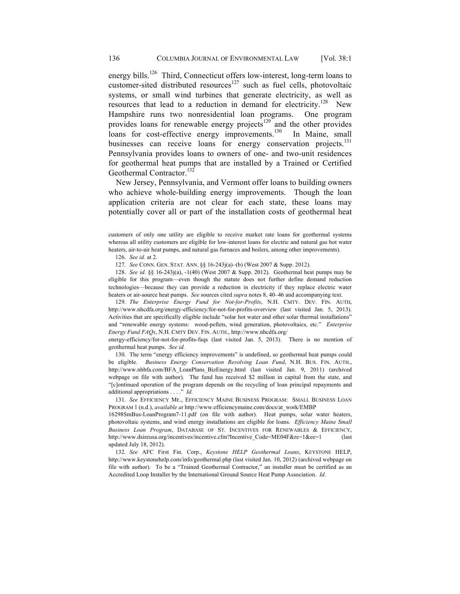energy bills.<sup>126</sup> Third, Connecticut offers low-interest, long-term loans to customer-sited distributed resources<sup>127</sup> such as fuel cells, photovoltaic systems, or small wind turbines that generate electricity, as well as resources that lead to a reduction in demand for electricity.<sup>128</sup> New Hampshire runs two nonresidential loan programs. One program provides loans for renewable energy projects<sup>129</sup> and the other provides loans for cost-effective energy improvements.<sup>130</sup> In Maine, small loans for cost-effective energy improvements. $130$ businesses can receive loans for energy conservation projects.<sup>131</sup> Pennsylvania provides loans to owners of one- and two-unit residences for geothermal heat pumps that are installed by a Trained or Certified Geothermal Contractor.<sup>132</sup>

New Jersey, Pennsylvania, and Vermont offer loans to building owners who achieve whole-building energy improvements. Though the loan application criteria are not clear for each state, these loans may potentially cover all or part of the installation costs of geothermal heat

customers of only one utility are eligible to receive market rate loans for geothermal systems whereas all utility customers are eligible for low-interest loans for electric and natural gas hot water heaters, air-to-air heat pumps, and natural gas furnaces and boilers, among other improvements).

126. *See id.* at 2.

127. *See* CONN. GEN. STAT. ANN. §§ 16-243j(a)–(b) (West 2007 & Supp. 2012).

128. *See id.* §§ 16-243j(a), -1(40) (West 2007 & Supp. 2012). Geothermal heat pumps may be eligible for this program—even though the statute does not further define demand reduction technologies—because they can provide a reduction in electricity if they replace electric water heaters or air-source heat pumps. *See* sources cited *supra* notes 8, 40–46 and accompanying text.

129. *The Enterprise Energy Fund for Not-for-Profits*, N.H. CMTY. DEV. FIN. AUTH, http://www.nhcdfa.org/energy-efficiency/for-not-for-profits-overview (last visited Jan. 5, 2013). Activities that are specifically eligible include "solar hot water and other solar thermal installations" and "renewable energy systems: wood-pellets, wind generation, photovoltaics, etc." *Enterprise Energy Fund FAQs*, N.H. CMTY DEV. FIN. AUTH., http://www.nhcdfa.org/

energy-efficiency/for-not-for-profits-faqs (last visited Jan. 5, 2013). There is no mention of geothermal heat pumps. *See id.*

130. The term "energy efficiency improvements" is undefined, so geothermal heat pumps could be eligible. *Business Energy Conservation Revolving Loan Fund*, N.H. BUS. FIN. AUTH., http://www.nhbfa.com/BFA\_LoanPlans\_BizEnergy.html (last visited Jan. 9, 2011) (archived webpage on file with author). The fund has received \$2 million in capital from the state, and "[c]ontinued operation of the program depends on the recycling of loan principal repayments and additional appropriations . . . ." *Id.*

131. *See* EFFICIENCY ME., EFFICIENCY MAINE BUSINESS PROGRAM: SMALL BUSINESS LOAN PROGRAM 1 (n.d.), *available at* http://www.efficiencymaine.com/docs/at\_work/EMBP

16298SmBus-LoanProgram7-11.pdf (on file with author). Heat pumps, solar water heaters, photovoltaic systems, and wind energy installations are eligible for loans. *Efficiency Maine Small Business Loan Program*, DATABASE OF ST. INCENTIVES FOR RENEWABLES & EFFICIENCY, http://www.dsireusa.org/incentives/incentive.cfm?Incentive Code=ME04F&re=1&ee=1 (last updated July 18, 2012).

132. *See* AFC First Fin. Corp., *Keystone HELP Geothermal Loans*, KEYSTONE HELP, http://www.keystonehelp.com/info/geothermal.php (last visited Jan. 10, 2012) (archived webpage on file with author). To be a "Trained Geothermal Contractor," an installer must be certified as an Accredited Loop Installer by the International Ground Source Heat Pump Association. *Id.*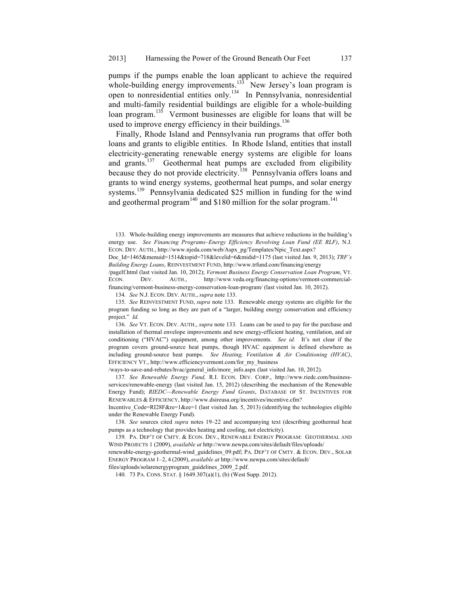pumps if the pumps enable the loan applicant to achieve the required whole-building energy improvements.<sup>133</sup> New Jersey's loan program is open to nonresidential entities only.134 In Pennsylvania, nonresidential and multi-family residential buildings are eligible for a whole-building loan program.<sup>135</sup> Vermont businesses are eligible for loans that will be used to improve energy efficiency in their buildings.<sup>136</sup>

Finally, Rhode Island and Pennsylvania run programs that offer both loans and grants to eligible entities. In Rhode Island, entities that install electricity-generating renewable energy systems are eligible for loans and grants.<sup>137</sup> Geothermal heat pumps are excluded from eligibility because they do not provide electricity.<sup>138</sup> Pennsylvania offers loans and grants to wind energy systems, geothermal heat pumps, and solar energy systems.<sup>139</sup> Pennsylvania dedicated \$25 million in funding for the wind and geothermal program<sup>140</sup> and \$180 million for the solar program.<sup>141</sup>

/pagelf.html (last visited Jan. 10, 2012); *Vermont Business Energy Conservation Loan Program*, VT. ECON. DEV. AUTH., http://www.veda.org/financing-options/vermont-commercialfinancing/vermont-business-energy-conservation-loan-program/ (last visited Jan. 10, 2012).

134. *See* N.J. ECON. DEV. AUTH., *supra* note 133.

135. *See* REINVESTMENT FUND, *supra* note 133. Renewable energy systems are eligible for the program funding so long as they are part of a "larger, building energy conservation and efficiency project." *Id.*

136. *See* VT. ECON. DEV. AUTH., *supra* note 133*.* Loans can be used to pay for the purchase and installation of thermal envelope improvements and new energy-efficient heating, ventilation, and air conditioning ("HVAC") equipment, among other improvements. *See id.* It's not clear if the program covers ground-source heat pumps, though HVAC equipment is defined elsewhere as including ground-source heat pumps. *See Heating, Ventilation & Air Conditioning (HVAC)*, EFFICIENCY VT., http://www.efficiencyvermont.com/for\_my\_business

/ways-to-save-and-rebates/hvac/general\_info/more\_info.aspx (last visited Jan. 10, 2012).

137. *See Renewable Energy Fund,* R.I. ECON. DEV. CORP., http://www.riedc.com/businessservices/renewable-energy (last visited Jan. 15, 2012) (describing the mechanism of the Renewable Energy Fund); *RIEDC—Renewable Energy Fund Grants*, DATABASE OF ST. INCENTIVES FOR RENEWABLES & EFFICIENCY, http://www.dsireusa.org/incentives/incentive.cfm?

Incentive  $Code=RI28F&re=1&e=1$  (last visited Jan. 5, 2013) (identifying the technologies eligible under the Renewable Energy Fund).

138. *See* sources cited *supra* notes 19–22 and accompanying text (describing geothermal heat pumps as a technology that provides heating and cooling, not electricity).

139. PA. DEP'T OF CMTY. & ECON. DEV., RENEWABLE ENERGY PROGRAM: GEOTHERMAL AND WIND PROJECTS 1 (2009), *available at* http://www.newpa.com/sites/default/files/uploads/

renewable-energy-geothermal-wind\_guidelines\_09.pdf; PA. DEP'T OF CMTY. & ECON. DEV., SOLAR ENERGY PROGRAM 1–2, 4 (2009), *available at* http://www.newpa.com/sites/default/

files/uploads/solarenergyprogram\_guidelines\_2009\_2.pdf.

140. 73 PA. CONS. STAT. § 1649.307(a)(1), (b) (West Supp. 2012).

<sup>133.</sup> Whole-building energy improvements are measures that achieve reductions in the building's energy use. *See Financing Programs–Energy Efficiency Revolving Loan Fund (EE RLF)*, N.J. ECON. DEV. AUTH., http://www.njeda.com/web/Aspx\_pg/Templates/Npic\_Text.aspx?

Doc\_Id=1465&menuid=1514&topid=718&levelid=6&midid=1175 (last visited Jan. 9, 2013); *TRF's Building Energy Loans*, REINVESTMENT FUND, http://www.trfund.com/financing/energy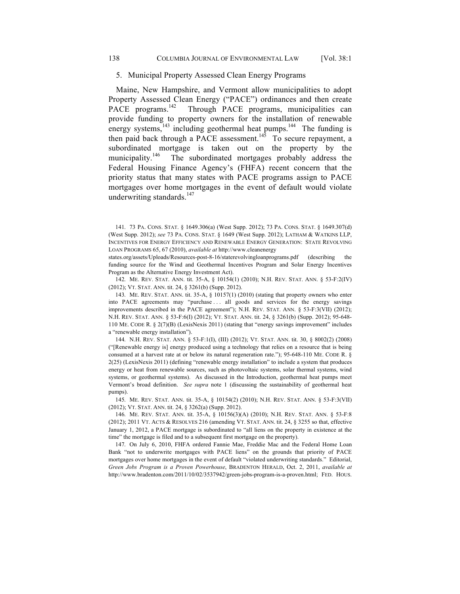Maine, New Hampshire, and Vermont allow municipalities to adopt Property Assessed Clean Energy ("PACE") ordinances and then create PACE programs.<sup>142</sup> Through PACE programs, municipalities can provide funding to property owners for the installation of renewable energy systems, $143$  including geothermal heat pumps. $144$  The funding is then paid back through a PACE assessment.<sup>145</sup> To secure repayment, a subordinated mortgage is taken out on the property by the municipality.<sup>146</sup> The subordinated mortgages probably address the Federal Housing Finance Agency's (FHFA) recent concern that the priority status that many states with PACE programs assign to PACE mortgages over home mortgages in the event of default would violate underwriting standards. $147$ 

states.org/assets/Uploads/Resources-post-8-16/staterevolvingloanprograms.pdf (describing the funding source for the Wind and Geothermal Incentives Program and Solar Energy Incentives Program as the Alternative Energy Investment Act).

142. ME. REV. STAT. ANN. tit. 35-A, § 10154(1) (2010); N.H. REV. STAT. ANN. § 53-F:2(IV) (2012); VT. STAT. ANN. tit. 24, § 3261(b) (Supp. 2012).

143. ME. REV. STAT. ANN. tit. 35-A, § 10157(1) (2010) (stating that property owners who enter into PACE agreements may "purchase . . . all goods and services for the energy savings improvements described in the PACE agreement"); N.H. REV. STAT. ANN. § 53-F:3(VII) (2012); N.H. REV. STAT. ANN. § 53-F:6(I) (2012); VT. STAT. ANN. tit. 24, § 3261(b) (Supp. 2012); 95-648- 110 ME. CODE R. § 2(7)(B) (LexisNexis 2011) (stating that "energy savings improvement" includes a "renewable energy installation").

144. N.H. REV. STAT. ANN. § 53-F:1(I), (III) (2012); VT. STAT. ANN. tit. 30, § 8002(2) (2008) ("[Renewable energy is] energy produced using a technology that relies on a resource that is being consumed at a harvest rate at or below its natural regeneration rate."); 95-648-110 ME. CODE R. § 2(25) (LexisNexis 2011) (defining "renewable energy installation" to include a system that produces energy or heat from renewable sources, such as photovoltaic systems, solar thermal systems, wind systems, or geothermal systems). As discussed in the Introduction, geothermal heat pumps meet Vermont's broad definition. *See supra* note 1 (discussing the sustainability of geothermal heat pumps).

145. ME. REV. STAT. ANN. tit. 35-A, § 10154(2) (2010); N.H. REV. STAT. ANN. § 53-F:3(VII) (2012); VT. STAT. ANN. tit. 24, § 3262(a) (Supp. 2012).

146. ME. REV. STAT. ANN. tit. 35-A, § 10156(3)(A) (2010); N.H. REV. STAT. ANN. § 53-F:8 (2012); 2011 VT. ACTS & RESOLVES 216 (amending VT. STAT. ANN. tit. 24, § 3255 so that, effective January 1, 2012, a PACE mortgage is subordinated to "all liens on the property in existence at the time" the mortgage is filed and to a subsequent first mortgage on the property).

147. On July 6, 2010, FHFA ordered Fannie Mae, Freddie Mac and the Federal Home Loan Bank "not to underwrite mortgages with PACE liens" on the grounds that priority of PACE mortgages over home mortgages in the event of default "violated underwriting standards." Editorial, *Green Jobs Program is a Proven Powerhouse*, BRADENTON HERALD, Oct. 2, 2011, *available at* http://www.bradenton.com/2011/10/02/3537942/green-jobs-program-is-a-proven.html; FED. HOUS.

<sup>141.</sup> 73 PA. CONS. STAT. § 1649.306(a) (West Supp. 2012); 73 PA. CONS. STAT. § 1649.307(d) (West Supp. 2012); *see* 73 PA. CONS. STAT. § 1649 (West Supp. 2012); LATHAM & WATKINS LLP, INCENTIVES FOR ENERGY EFFICIENCY AND RENEWABLE ENERGY GENERATION: STATE REVOLVING LOAN PROGRAMS 65, 67 (2010), *available at* http://www.cleanenergy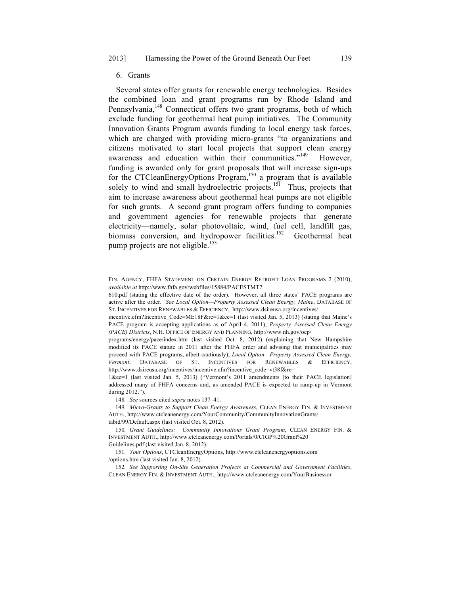#### 6. Grants

Several states offer grants for renewable energy technologies. Besides the combined loan and grant programs run by Rhode Island and Pennsylvania,<sup>148</sup> Connecticut offers two grant programs, both of which exclude funding for geothermal heat pump initiatives. The Community Innovation Grants Program awards funding to local energy task forces, which are charged with providing micro-grants "to organizations and citizens motivated to start local projects that support clean energy awareness and education within their communities."<sup>149</sup> However, funding is awarded only for grant proposals that will increase sign-ups for the CTCleanEnergyOptions Program,<sup>150</sup> a program that is available solely to wind and small hydroelectric projects.<sup>151</sup> Thus, projects that aim to increase awareness about geothermal heat pumps are not eligible for such grants. A second grant program offers funding to companies and government agencies for renewable projects that generate electricity—namely, solar photovoltaic, wind, fuel cell, landfill gas, biomass conversion, and hydropower facilities.<sup>152</sup> Geothermal heat pump projects are not eligible.<sup>153</sup>

610.pdf (stating the effective date of the order). However, all three states' PACE programs are active after the order. *See Local Option—Property Assessed Clean Energy, Maine*, DATABASE OF ST. INCENTIVES FOR RENEWABLES & EFFICIENCY, http://www.dsireusa.org/incentives/

incentive.cfm?Incentive Code=ME18F&re=1&ee=1 (last visited Jan. 5, 2013) (stating that Maine's PACE program is accepting applications as of April 4, 2011); *Property Assessed Clean Energy (PACE) Districts*, N.H. OFFICE OF ENERGY AND PLANNING, http://www.nh.gov/oep/

programs/energy/pace/index.htm (last visited Oct. 8, 2012) (explaining that New Hampshire modified its PACE statute in 2011 after the FHFA order and advising that municipalities may proceed with PACE programs, albeit cautiously); *Local Option—Property Assessed Clean Energy, Vermont*, DATABASE OF ST. INCENTIVES FOR RENEWABLES & EFFICIENCY, http://www.dsireusa.org/incentives/incentive.cfm?incentive\_code=vt38f&re=

1&ee=1 (last visited Jan. 5, 2013) ("Vermont's 2011 amendments [to their PACE legislation] addressed many of FHFA concerns and, as amended PACE is expected to ramp-up in Vermont during 2012.").

148. *See* sources cited *supra* notes 137–41.

149. *Micro-Grants to Support Clean Energy Awareness*, CLEAN ENERGY FIN. & INVESTMENT AUTH., http://www.ctcleanenergy.com/YourCommunity/CommunityInnovationGrants/ tabid/99/Default.aspx (last visited Oct. 8, 2012).

150. *Grant Guidelines: Community Innovations Grant Program*, CLEAN ENERGY FIN. & INVESTMENT AUTH., http://www.ctcleanenergy.com/Portals/0/CIGP%20Grant%20

Guidelines.pdf (last visited Jan. 8, 2012).

151. *Your Options*, CTCleanEnergyOptions, http://www.ctcleanenergyoptions.com /options.htm (last visited Jan. 8, 2012).

152. *See Supporting On-Site Generation Projects at Commercial and Government Facilities*, CLEAN ENERGY FIN. & INVESTMENT AUTH., http://www.ctcleanenergy.com/YourBusinessor

FIN. AGENCY, FHFA STATEMENT ON CERTAIN ENERGY RETROFIT LOAN PROGRAMS 2 (2010), *available at* http://www.fhfa.gov/webfiles/15884/PACESTMT7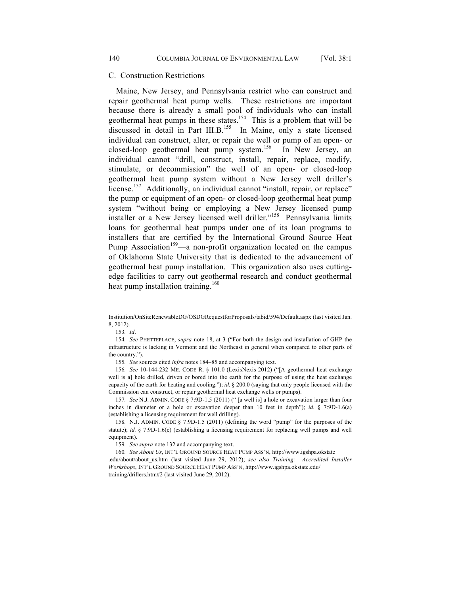#### C. Construction Restrictions

Maine, New Jersey, and Pennsylvania restrict who can construct and repair geothermal heat pump wells. These restrictions are important because there is already a small pool of individuals who can install geothermal heat pumps in these states.<sup>154</sup> This is a problem that will be discussed in detail in Part III.B.<sup>155</sup> In Maine, only a state licensed individual can construct, alter, or repair the well or pump of an open- or closed-loop geothermal heat pump system.<sup>156</sup> In New Jersey, an individual cannot "drill, construct, install, repair, replace, modify, stimulate, or decommission" the well of an open- or closed-loop geothermal heat pump system without a New Jersey well driller's license.<sup>157</sup> Additionally, an individual cannot "install, repair, or replace" the pump or equipment of an open- or closed-loop geothermal heat pump system "without being or employing a New Jersey licensed pump installer or a New Jersey licensed well driller."<sup>158</sup> Pennsylvania limits loans for geothermal heat pumps under one of its loan programs to installers that are certified by the International Ground Source Heat Pump Association<sup>159</sup>—a non-profit organization located on the campus of Oklahoma State University that is dedicated to the advancement of geothermal heat pump installation. This organization also uses cuttingedge facilities to carry out geothermal research and conduct geothermal heat pump installation training.<sup>160</sup>

153. *Id*.

154. *See* PHETTEPLACE, *supra* note 18, at 3 ("For both the design and installation of GHP the infrastructure is lacking in Vermont and the Northeast in general when compared to other parts of the country.").

155. *See* sources cited *infra* notes 184–85 and accompanying text.

156. *See* 10-144-232 ME. CODE R. § 101.0 (LexisNexis 2012) ("[A geothermal heat exchange well is a] hole drilled, driven or bored into the earth for the purpose of using the heat exchange capacity of the earth for heating and cooling."); *id.* § 200.0 (saying that only people licensed with the Commission can construct, or repair geothermal heat exchange wells or pumps).

157. *See* N.J. ADMIN. CODE § 7:9D-1.5 (2011) (" [a well is] a hole or excavation larger than four inches in diameter or a hole or excavation deeper than 10 feet in depth"); *id.* § 7:9D-1.6(a) (establishing a licensing requirement for well drilling).

158. N.J. ADMIN. CODE § 7:9D-1.5 (2011) (defining the word "pump" for the purposes of the statute); *id.* § 7:9D-1.6(c) (establishing a licensing requirement for replacing well pumps and well equipment).

159. *See supra* note 132 and accompanying text.

160. *See About Us*, INT'L GROUND SOURCE HEAT PUMP ASS'N, http://www.igshpa.okstate .edu/about/about\_us.htm (last visited June 29, 2012); *see also Training: Accredited Installer Workshops*, INT'L GROUND SOURCE HEAT PUMP ASS'N, http://www.igshpa.okstate.edu/ training/drillers.htm#2 (last visited June 29, 2012).

Institution/OnSiteRenewableDG/OSDGRequestforProposals/tabid/594/Default.aspx (last visited Jan. 8, 2012).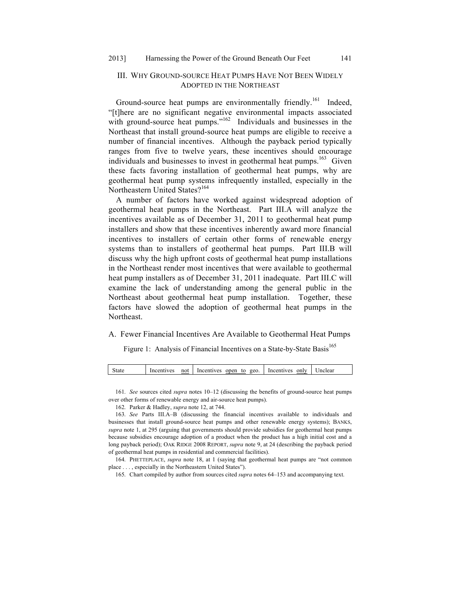## III. WHY GROUND-SOURCE HEAT PUMPS HAVE NOT BEEN WIDELY ADOPTED IN THE NORTHEAST

Ground-source heat pumps are environmentally friendly.<sup>161</sup> Indeed, "[t]here are no significant negative environmental impacts associated with ground-source heat pumps." $162$  Individuals and businesses in the Northeast that install ground-source heat pumps are eligible to receive a number of financial incentives. Although the payback period typically ranges from five to twelve years, these incentives should encourage individuals and businesses to invest in geothermal heat pumps.<sup>163</sup> Given these facts favoring installation of geothermal heat pumps, why are geothermal heat pump systems infrequently installed, especially in the Northeastern United States?<sup>164</sup>

A number of factors have worked against widespread adoption of geothermal heat pumps in the Northeast. Part III.A will analyze the incentives available as of December 31, 2011 to geothermal heat pump installers and show that these incentives inherently award more financial incentives to installers of certain other forms of renewable energy systems than to installers of geothermal heat pumps. Part III.B will discuss why the high upfront costs of geothermal heat pump installations in the Northeast render most incentives that were available to geothermal heat pump installers as of December 31, 2011 inadequate. Part III.C will examine the lack of understanding among the general public in the Northeast about geothermal heat pump installation. Together, these factors have slowed the adoption of geothermal heat pumps in the Northeast.

## A. Fewer Financial Incentives Are Available to Geothermal Heat Pumps

Figure 1: Analysis of Financial Incentives on a State-by-State Basis<sup>165</sup>

| open to |  | State | Incentives | not | Incentives |  | geo | Incentives | only | Jnclear |  |
|---------|--|-------|------------|-----|------------|--|-----|------------|------|---------|--|
|---------|--|-------|------------|-----|------------|--|-----|------------|------|---------|--|

<sup>161.</sup> *See* sources cited *supra* notes 10–12 (discussing the benefits of ground-source heat pumps over other forms of renewable energy and air-source heat pumps).

<sup>162.</sup> Parker & Hadley, *supra* note 12, at 744.

<sup>163.</sup> *See* Parts III.A–B (discussing the financial incentives available to individuals and businesses that install ground-source heat pumps and other renewable energy systems); BANKS, *supra* note 1, at 295 (arguing that governments should provide subsidies for geothermal heat pumps because subsidies encourage adoption of a product when the product has a high initial cost and a long payback period); OAK RIDGE 2008 REPORT, *supra* note 9, at 24 (describing the payback period of geothermal heat pumps in residential and commercial facilities).

<sup>164.</sup> PHETTEPLACE, *supra* note 18, at 1 (saying that geothermal heat pumps are "not common place . . . , especially in the Northeastern United States").

<sup>165.</sup> Chart compiled by author from sources cited *supra* notes 64–153 and accompanying text.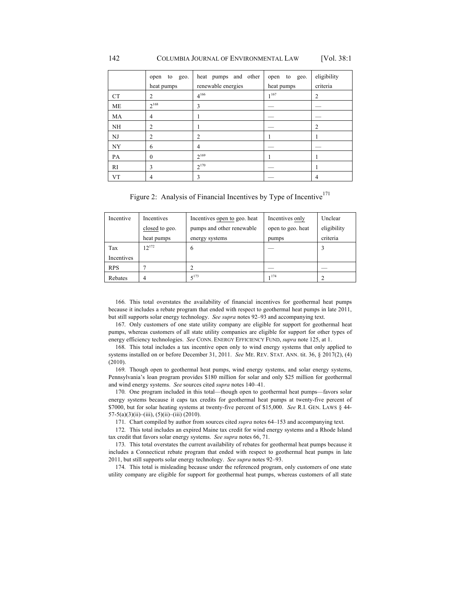|           | to geo.<br>open | heat pumps and other | open to<br>geo. | eligibility    |
|-----------|-----------------|----------------------|-----------------|----------------|
|           | heat pumps      | renewable energies   | heat pumps      | criteria       |
| <b>CT</b> | 2               | $4^{166}$            | 1167            | $\overline{2}$ |
| <b>ME</b> | $2^{168}$       | 3                    |                 |                |
| MA        | 4               |                      |                 |                |
| NH        | 2               |                      |                 | 2              |
| NJ        | 2               | 2                    |                 |                |
| NY        | 6               | 4                    |                 |                |
| PA        | $\theta$        | $2^{169}$            |                 |                |
| RI        | 3               | $2^{170}$            |                 |                |
| <b>VT</b> | 4               | 3                    |                 | 4              |

Figure 2: Analysis of Financial Incentives by Type of Incentive<sup>171</sup>

| Incentive  | Incentives     | Incentives open to geo. heat | Incentives only   | Unclear     |
|------------|----------------|------------------------------|-------------------|-------------|
|            | closed to geo. | pumps and other renewable    | open to geo. heat | eligibility |
|            | heat pumps     | energy systems               | pumps             | criteria    |
| Tax        | $12^{172}$     | 6                            |                   |             |
| Incentives |                |                              |                   |             |
| <b>RPS</b> |                |                              |                   |             |
| Rebates    |                | $5^{173}$                    | 1174              |             |

166. This total overstates the availability of financial incentives for geothermal heat pumps because it includes a rebate program that ended with respect to geothermal heat pumps in late 2011, but still supports solar energy technology. *See supra* notes 92–93 and accompanying text.

167. Only customers of one state utility company are eligible for support for geothermal heat pumps, whereas customers of all state utility companies are eligible for support for other types of energy efficiency technologies. *See* CONN. ENERGY EFFICIENCY FUND, *supra* note 125, at 1.

168. This total includes a tax incentive open only to wind energy systems that only applied to systems installed on or before December 31, 2011. *See* ME. REV. STAT. ANN. tit. 36, § 2017(2), (4) (2010).

169. Though open to geothermal heat pumps, wind energy systems, and solar energy systems, Pennsylvania's loan program provides \$180 million for solar and only \$25 million for geothermal and wind energy systems. *See* sources cited *supra* notes 140–41.

170. One program included in this total—though open to geothermal heat pumps—favors solar energy systems because it caps tax credits for geothermal heat pumps at twenty-five percent of \$7000, but for solar heating systems at twenty-five percent of \$15,000. *See* R.I. GEN. LAWS § 44-  $57-5(a)(3)(ii)$ –(iii),  $(5)(ii)$ –(iii) (2010).

171. Chart compiled by author from sources cited *supra* notes 64–153 and accompanying text.

172. This total includes an expired Maine tax credit for wind energy systems and a Rhode Island tax credit that favors solar energy systems. *See supra* notes 66, 71.

173. This total overstates the current availability of rebates for geothermal heat pumps because it includes a Connecticut rebate program that ended with respect to geothermal heat pumps in late 2011, but still supports solar energy technology. *See supra* notes 92–93.

174. This total is misleading because under the referenced program, only customers of one state utility company are eligible for support for geothermal heat pumps, whereas customers of all state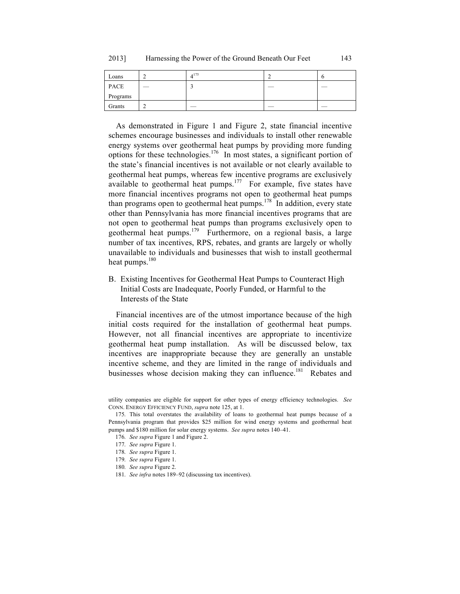| Loans    | $4^{175}$ |  |
|----------|-----------|--|
| PACE     |           |  |
| Programs |           |  |
| Grants   |           |  |

As demonstrated in Figure 1 and Figure 2, state financial incentive schemes encourage businesses and individuals to install other renewable energy systems over geothermal heat pumps by providing more funding options for these technologies.<sup>176</sup> In most states, a significant portion of the state's financial incentives is not available or not clearly available to geothermal heat pumps, whereas few incentive programs are exclusively available to geothermal heat pumps.<sup>177</sup> For example, five states have more financial incentives programs not open to geothermal heat pumps than programs open to geothermal heat pumps.<sup>178</sup> In addition, every state other than Pennsylvania has more financial incentives programs that are not open to geothermal heat pumps than programs exclusively open to geothermal heat pumps. $179$  Furthermore, on a regional basis, a large number of tax incentives, RPS, rebates, and grants are largely or wholly unavailable to individuals and businesses that wish to install geothermal heat pumps.<sup>180</sup>

B. Existing Incentives for Geothermal Heat Pumps to Counteract High Initial Costs are Inadequate, Poorly Funded, or Harmful to the Interests of the State

Financial incentives are of the utmost importance because of the high initial costs required for the installation of geothermal heat pumps. However, not all financial incentives are appropriate to incentivize geothermal heat pump installation. As will be discussed below, tax incentives are inappropriate because they are generally an unstable incentive scheme, and they are limited in the range of individuals and businesses whose decision making they can influence.<sup>181</sup> Rebates and

utility companies are eligible for support for other types of energy efficiency technologies. *See* CONN. ENERGY EFFICIENCY FUND, *supra* note 125, at 1.

<sup>175.</sup> This total overstates the availability of loans to geothermal heat pumps because of a Pennsylvania program that provides \$25 million for wind energy systems and geothermal heat pumps and \$180 million for solar energy systems. *See supra* notes 140–41.

<sup>176.</sup> *See supra* Figure 1 and Figure 2.

<sup>177.</sup> *See supra* Figure 1.

<sup>178.</sup> *See supra* Figure 1.

<sup>179.</sup> *See supra* Figure 1.

<sup>180.</sup> *See supra* Figure 2.

<sup>181.</sup> *See infra* notes 189–92 (discussing tax incentives).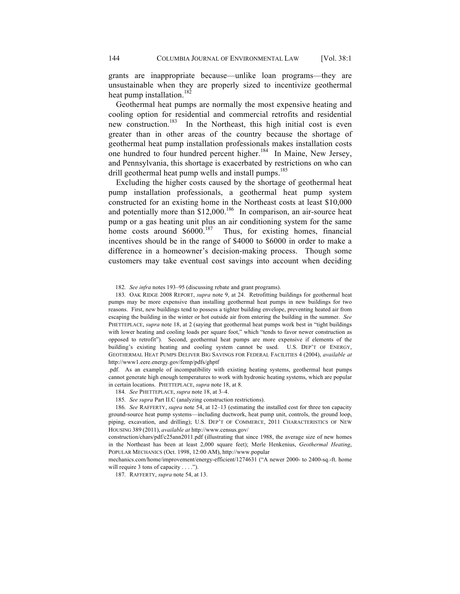grants are inappropriate because—unlike loan programs—they are unsustainable when they are properly sized to incentivize geothermal heat pump installation.<sup>182</sup>

Geothermal heat pumps are normally the most expensive heating and cooling option for residential and commercial retrofits and residential new construction.<sup>183</sup> In the Northeast, this high initial cost is even greater than in other areas of the country because the shortage of geothermal heat pump installation professionals makes installation costs one hundred to four hundred percent higher.<sup>184</sup> In Maine, New Jersey, and Pennsylvania, this shortage is exacerbated by restrictions on who can drill geothermal heat pump wells and install pumps.<sup>185</sup>

Excluding the higher costs caused by the shortage of geothermal heat pump installation professionals, a geothermal heat pump system constructed for an existing home in the Northeast costs at least \$10,000 and potentially more than  $$12,000$ <sup>186</sup> In comparison, an air-source heat pump or a gas heating unit plus an air conditioning system for the same home costs around  $$6000<sup>187</sup>$  Thus, for existing homes, financial incentives should be in the range of \$4000 to \$6000 in order to make a difference in a homeowner's decision-making process. Though some customers may take eventual cost savings into account when deciding

183. OAK RIDGE 2008 REPORT, *supra* note 9, at 24. Retrofitting buildings for geothermal heat pumps may be more expensive than installing geothermal heat pumps in new buildings for two reasons. First, new buildings tend to possess a tighter building envelope, preventing heated air from escaping the building in the winter or hot outside air from entering the building in the summer. *See*  PHETTEPLACE, *supra* note 18, at 2 (saying that geothermal heat pumps work best in "tight buildings" with lower heating and cooling loads per square foot," which "tends to favor newer construction as opposed to retrofit"). Second, geothermal heat pumps are more expensive if elements of the building's existing heating and cooling system cannot be used. U.S. DEP'T OF ENERGY, GEOTHERMAL HEAT PUMPS DELIVER BIG SAVINGS FOR FEDERAL FACILITIES 4 (2004), *available at* http://www1.eere.energy.gov/femp/pdfs/ghptf

.pdf. As an example of incompatibility with existing heating systems, geothermal heat pumps cannot generate high enough temperatures to work with hydronic heating systems, which are popular in certain locations. PHETTEPLACE, *supra* note 18, at 8.

184. *See* PHETTEPLACE, *supra* note 18, at 3–4.

185. *See supra* Part II.C (analyzing construction restrictions).

186. *See* RAFFERTY, *supra* note 54, at 12–13 (estimating the installed cost for three ton capacity ground-source heat pump systems—including ductwork, heat pump unit, controls, the ground loop, piping, excavation, and drilling); U.S. DEP'T OF COMMERCE, 2011 CHARACTERISTICS OF NEW HOUSING 389 (2011), *available at* http://www.census.gov/

construction/chars/pdf/c25ann2011.pdf (illustrating that since 1988, the average size of new homes in the Northeast has been at least 2,000 square feet); Merle Henkenius, *Geothermal Heating*, POPULAR MECHANICS (Oct. 1998, 12:00 AM), http://www.popular

mechanics.com/home/improvement/energy-efficient/1274631 ("A newer 2000- to 2400-sq.-ft. home will require 3 tons of capacity . . . .").

187. RAFFERTY, *supra* note 54, at 13.

<sup>182.</sup> *See infra* notes 193–95 (discussing rebate and grant programs).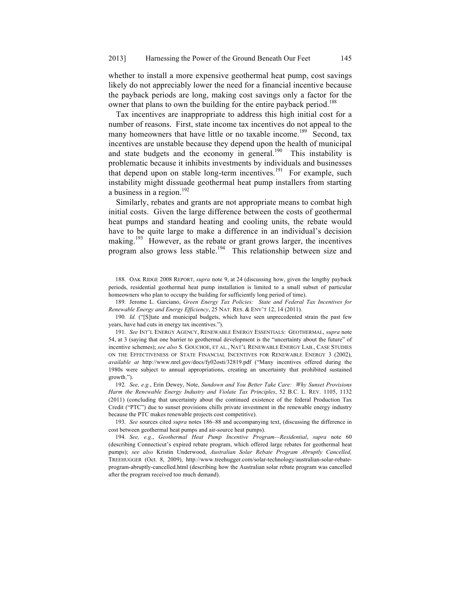whether to install a more expensive geothermal heat pump, cost savings likely do not appreciably lower the need for a financial incentive because the payback periods are long, making cost savings only a factor for the owner that plans to own the building for the entire payback period.<sup>188</sup>

Tax incentives are inappropriate to address this high initial cost for a number of reasons. First, state income tax incentives do not appeal to the many homeowners that have little or no taxable income.<sup>189</sup> Second, tax incentives are unstable because they depend upon the health of municipal and state budgets and the economy in general.<sup>190</sup> This instability is problematic because it inhibits investments by individuals and businesses that depend upon on stable long-term incentives.<sup>191</sup> For example, such instability might dissuade geothermal heat pump installers from starting a business in a region. $^{192}$ 

Similarly, rebates and grants are not appropriate means to combat high initial costs. Given the large difference between the costs of geothermal heat pumps and standard heating and cooling units, the rebate would have to be quite large to make a difference in an individual's decision making.<sup>193</sup> However, as the rebate or grant grows larger, the incentives program also grows less stable.<sup>194</sup> This relationship between size and

188. OAK RIDGE 2008 REPORT, *supra* note 9, at 24 (discussing how, given the lengthy payback periods, residential geothermal heat pump installation is limited to a small subset of particular homeowners who plan to occupy the building for sufficiently long period of time).

189. Jerome L. Garciano, *Green Energy Tax Policies: State and Federal Tax Incentives for Renewable Energy and Energy Efficiency*, 25 NAT. RES. & ENV'T 12, 14 (2011).

190. *Id.* ("[S]tate and municipal budgets, which have seen unprecedented strain the past few years, have had cuts in energy tax incentives.").

191. *See* INT'L ENERGY AGENCY, RENEWABLE ENERGY ESSENTIALS: GEOTHERMAL, *supra* note 54, at 3 (saying that one barrier to geothermal development is the "uncertainty about the future" of incentive schemes); *see also* S. GOUCHOE, ET AL., NAT'L RENEWABLE ENERGY LAB., CASE STUDIES ON THE EFFECTIVENESS OF STATE FINANCIAL INCENTIVES FOR RENEWABLE ENERGY 3 (2002), *available at* http://www.nrel.gov/docs/fy02osti/32819.pdf ("Many incentives offered during the 1980s were subject to annual appropriations, creating an uncertainty that prohibited sustained growth.").

192. *See, e.g.*, Erin Dewey, Note, *Sundown and You Better Take Care: Why Sunset Provisions Harm the Renewable Energy Industry and Violate Tax Principles*, 52 B.C. L. REV. 1105, 1132 (2011) (concluding that uncertainty about the continued existence of the federal Production Tax Credit ("PTC") due to sunset provisions chills private investment in the renewable energy industry because the PTC makes renewable projects cost competitive).

193. *See* sources cited *supra* notes 186–88 and accompanying text, (discussing the difference in cost between geothermal heat pumps and air-source heat pumps).

194. *See, e.g.*, *Geothermal Heat Pump Incentive Program—Residential*, *supra* note 60 (describing Connecticut's expired rebate program, which offered large rebates for geothermal heat pumps); *see also* Kristin Underwood, *Australian Solar Rebate Program Abruptly Cancelled,*  TREEHUGGER (Oct. 8, 2009), http://www.treehugger.com/solar-technology/australian-solar-rebateprogram-abruptly-cancelled.html (describing how the Australian solar rebate program was cancelled after the program received too much demand).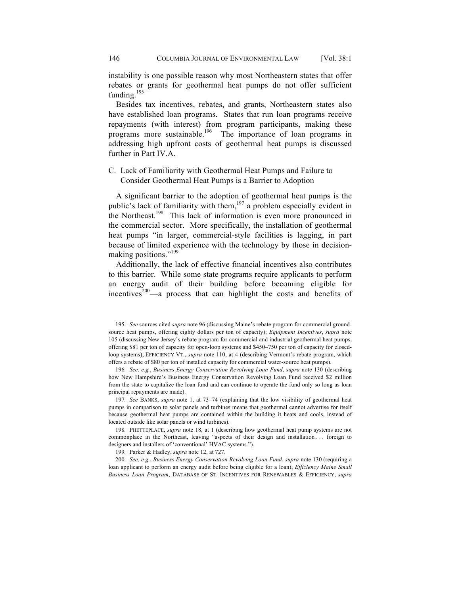instability is one possible reason why most Northeastern states that offer rebates or grants for geothermal heat pumps do not offer sufficient funding. $195$ 

Besides tax incentives, rebates, and grants, Northeastern states also have established loan programs. States that run loan programs receive repayments (with interest) from program participants, making these programs more sustainable.<sup>196</sup> The importance of loan programs in addressing high upfront costs of geothermal heat pumps is discussed further in Part IV.A.

## C. Lack of Familiarity with Geothermal Heat Pumps and Failure to Consider Geothermal Heat Pumps is a Barrier to Adoption

A significant barrier to the adoption of geothermal heat pumps is the public's lack of familiarity with them,<sup>197</sup> a problem especially evident in the Northeast.<sup>198</sup> This lack of information is even more pronounced in the commercial sector. More specifically, the installation of geothermal heat pumps "in larger, commercial-style facilities is lagging, in part because of limited experience with the technology by those in decisionmaking positions."<sup>199</sup>

Additionally, the lack of effective financial incentives also contributes to this barrier. While some state programs require applicants to perform an energy audit of their building before becoming eligible for  $incentives<sup>200</sup>$ —a process that can highlight the costs and benefits of

195. *See* sources cited *supra* note 96 (discussing Maine's rebate program for commercial groundsource heat pumps, offering eighty dollars per ton of capacity); *Equipment Incentives*, *supra* note 105 (discussing New Jersey's rebate program for commercial and industrial geothermal heat pumps, offering \$81 per ton of capacity for open-loop systems and \$450–750 per ton of capacity for closedloop systems); EFFICIENCY VT., *supra* note 110, at 4 (describing Vermont's rebate program, which offers a rebate of \$80 per ton of installed capacity for commercial water-source heat pumps).

196. *See, e.g.*, *Business Energy Conservation Revolving Loan Fund*, *supra* note 130 (describing how New Hampshire's Business Energy Conservation Revolving Loan Fund received \$2 million from the state to capitalize the loan fund and can continue to operate the fund only so long as loan principal repayments are made).

197. *See* BANKS, *supra* note 1, at 73–74 (explaining that the low visibility of geothermal heat pumps in comparison to solar panels and turbines means that geothermal cannot advertise for itself because geothermal heat pumps are contained within the building it heats and cools, instead of located outside like solar panels or wind turbines).

198. PHETTEPLACE, *supra* note 18, at 1 (describing how geothermal heat pump systems are not commonplace in the Northeast, leaving "aspects of their design and installation . . . foreign to designers and installers of 'conventional' HVAC systems.").

199. Parker & Hadley, *supra* note 12, at 727.

200. *See, e.g.*, *Business Energy Conservation Revolving Loan Fund*, *supra* note 130 (requiring a loan applicant to perform an energy audit before being eligible for a loan); *Efficiency Maine Small Business Loan Program*, DATABASE OF ST. INCENTIVES FOR RENEWABLES & EFFICIENCY, *supra*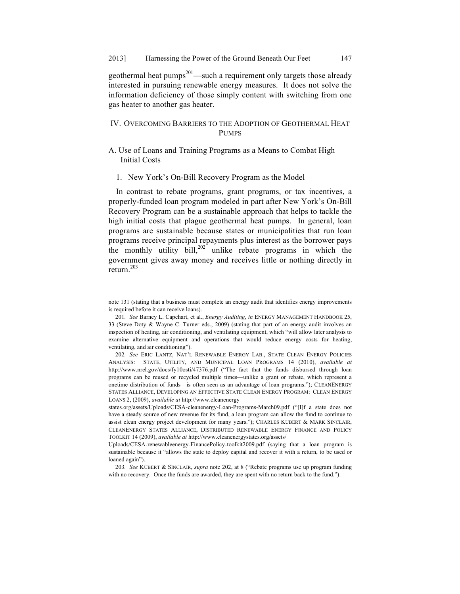geothermal heat pumps<sup>201</sup>—such a requirement only targets those already interested in pursuing renewable energy measures. It does not solve the information deficiency of those simply content with switching from one gas heater to another gas heater.

## IV. OVERCOMING BARRIERS TO THE ADOPTION OF GEOTHERMAL HEAT **PUMPS**

- A. Use of Loans and Training Programs as a Means to Combat High Initial Costs
	- 1. New York's On-Bill Recovery Program as the Model

In contrast to rebate programs, grant programs, or tax incentives, a properly-funded loan program modeled in part after New York's On-Bill Recovery Program can be a sustainable approach that helps to tackle the high initial costs that plague geothermal heat pumps. In general, loan programs are sustainable because states or municipalities that run loan programs receive principal repayments plus interest as the borrower pays the monthly utility bill, $202$  unlike rebate programs in which the government gives away money and receives little or nothing directly in  $return<sup>203</sup>$ 

note 131 (stating that a business must complete an energy audit that identifies energy improvements is required before it can receive loans).

<sup>201.</sup> *See* Barney L. Capehart, et al., *Energy Auditing*, *in* ENERGY MANAGEMENT HANDBOOK 25, 33 (Steve Doty & Wayne C. Turner eds., 2009) (stating that part of an energy audit involves an inspection of heating, air conditioning, and ventilating equipment, which "will allow later analysis to examine alternative equipment and operations that would reduce energy costs for heating, ventilating, and air conditioning").

<sup>202.</sup> *See* ERIC LANTZ, NAT'L RENEWABLE ENERGY LAB., STATE CLEAN ENERGY POLICIES ANALYSIS: STATE, UTILITY, AND MUNICIPAL LOAN PROGRAMS 14 (2010), *available at*  http://www.nrel.gov/docs/fy10osti/47376.pdf ("The fact that the funds disbursed through loan programs can be reused or recycled multiple times—unlike a grant or rebate, which represent a onetime distribution of funds—is often seen as an advantage of loan programs."); CLEANENERGY STATES ALLIANCE, DEVELOPING AN EFFECTIVE STATE CLEAN ENERGY PROGRAM: CLEAN ENERGY LOANS 2, (2009), *available at* http://www.cleanenergy

states.org/assets/Uploads/CESA-cleanenergy-Loan-Programs-March09.pdf ("[I]f a state does not have a steady source of new revenue for its fund, a loan program can allow the fund to continue to assist clean energy project development for many years."); CHARLES KUBERT & MARK SINCLAIR, CLEANENERGY STATES ALLIANCE, DISTRIBUTED RENEWABLE ENERGY FINANCE AND POLICY TOOLKIT 14 (2009), *available at* http://www.cleanenergystates.org/assets/

Uploads/CESA-renewableenergy-FinancePolicy-toolkit2009.pdf (saying that a loan program is sustainable because it "allows the state to deploy capital and recover it with a return, to be used or loaned again").

<sup>203.</sup> *See* KUBERT & SINCLAIR, *supra* note 202, at 8 ("Rebate programs use up program funding with no recovery. Once the funds are awarded, they are spent with no return back to the fund.").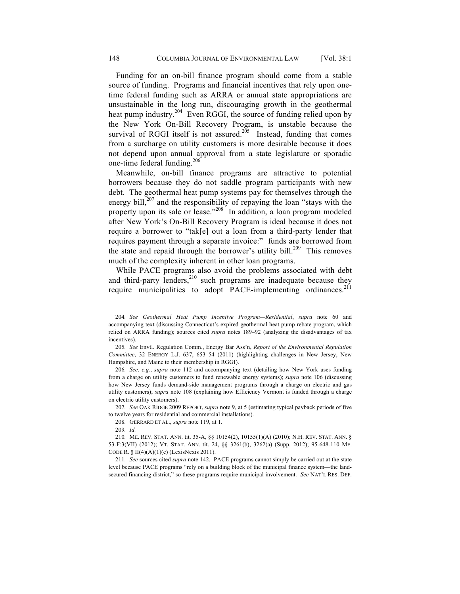Funding for an on-bill finance program should come from a stable source of funding. Programs and financial incentives that rely upon onetime federal funding such as ARRA or annual state appropriations are unsustainable in the long run, discouraging growth in the geothermal heat pump industry.<sup>204</sup> Even RGGI, the source of funding relied upon by the New York On-Bill Recovery Program, is unstable because the survival of RGGI itself is not assured.<sup>205</sup> Instead, funding that comes from a surcharge on utility customers is more desirable because it does not depend upon annual approval from a state legislature or sporadic one-time federal funding.<sup>206</sup>

Meanwhile, on-bill finance programs are attractive to potential borrowers because they do not saddle program participants with new debt. The geothermal heat pump systems pay for themselves through the energy bill, $207$  and the responsibility of repaying the loan "stays with the property upon its sale or lease."<sup>208</sup> In addition, a loan program modeled after New York's On-Bill Recovery Program is ideal because it does not require a borrower to "tak[e] out a loan from a third-party lender that requires payment through a separate invoice:" funds are borrowed from the state and repaid through the borrower's utility bill.<sup>209</sup> This removes much of the complexity inherent in other loan programs.

While PACE programs also avoid the problems associated with debt and third-party lenders,<sup>210</sup> such programs are inadequate because they require municipalities to adopt PACE-implementing ordinances.<sup>211</sup>

205. *See* Envtl. Regulation Comm., Energy Bar Ass'n, *Report of the Environmental Regulation Committee*, 32 ENERGY L.J. 637, 653–54 (2011) (highlighting challenges in New Jersey, New Hampshire, and Maine to their membership in RGGI).

206. *See, e.g.*, *supra* note 112 and accompanying text (detailing how New York uses funding from a charge on utility customers to fund renewable energy systems); *supra* note 106 (discussing how New Jersey funds demand-side management programs through a charge on electric and gas utility customers); *supra* note 108 (explaining how Efficiency Vermont is funded through a charge on electric utility customers).

207. *See* OAK RIDGE 2009 REPORT, *supra* note 9, at 5 (estimating typical payback periods of five to twelve years for residential and commercial installations).

208. GERRARD ET AL., *supra* note 119, at 1.

209. *Id.*

210. ME. REV. STAT. ANN. tit. 35-A, §§ 10154(2), 10155(1)(A) (2010); N.H. REV. STAT. ANN. § 53-F:3(VII) (2012); VT. STAT. ANN. tit. 24, §§ 3261(b), 3262(a) (Supp. 2012); 95-648-110 ME. CODE R. § II(4)(A)(1)(c) (LexisNexis 2011).

211. *See* sources cited *supra* note 142. PACE programs cannot simply be carried out at the state level because PACE programs "rely on a building block of the municipal finance system—the landsecured financing district," so these programs require municipal involvement. *See* NAT'L RES. DEF.

<sup>204.</sup> *See Geothermal Heat Pump Incentive Program—Residential*, *supra* note 60 and accompanying text (discussing Connecticut's expired geothermal heat pump rebate program, which relied on ARRA funding); sources cited *supra* notes 189–92 (analyzing the disadvantages of tax incentives).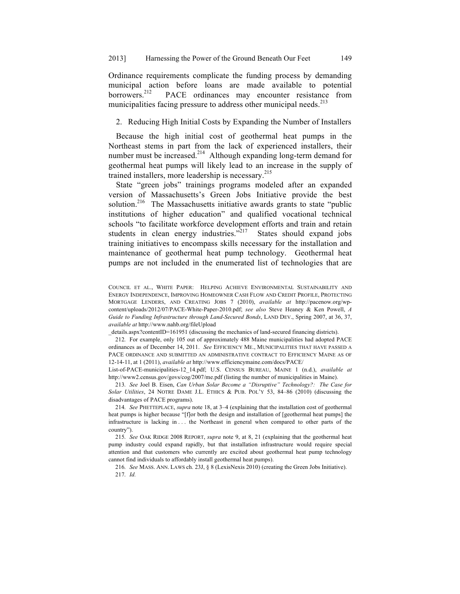Ordinance requirements complicate the funding process by demanding municipal action before loans are made available to potential borrowers.<sup>212</sup> PACE ordinances may encounter resistance from municipalities facing pressure to address other municipal needs.<sup>213</sup>

2. Reducing High Initial Costs by Expanding the Number of Installers

Because the high initial cost of geothermal heat pumps in the Northeast stems in part from the lack of experienced installers, their number must be increased.<sup>214</sup> Although expanding long-term demand for geothermal heat pumps will likely lead to an increase in the supply of trained installers, more leadership is necessary.<sup>215</sup>

State "green jobs" trainings programs modeled after an expanded version of Massachusetts's Green Jobs Initiative provide the best solution.<sup>216</sup> The Massachusetts initiative awards grants to state "public institutions of higher education" and qualified vocational technical schools "to facilitate workforce development efforts and train and retain students in clean energy industries."<sup>217</sup> States should expand jobs training initiatives to encompass skills necessary for the installation and maintenance of geothermal heat pump technology. Geothermal heat pumps are not included in the enumerated list of technologies that are

\_details.aspx?contentID=161951 (discussing the mechanics of land-secured financing districts).

212. For example, only 105 out of approximately 488 Maine municipalities had adopted PACE ordinances as of December 14, 2011. *See* EFFICIENCY ME., MUNICIPALITIES THAT HAVE PASSED A PACE ORDINANCE AND SUBMITTED AN ADMINISTRATIVE CONTRACT TO EFFICIENCY MAINE AS OF 12-14-11, at 1 (2011), *available at* http://www.efficiencymaine.com/docs/PACE/

List-of-PACE-municipalities-12\_14.pdf; U.S. CENSUS BUREAU, MAINE 1 (n.d.), *available at*  http://www2.census.gov/govs/cog/2007/me.pdf (listing the number of municipalities in Maine).

213. *See* Joel B. Eisen, *Can Urban Solar Become a "Disruptive" Technology?: The Case for Solar Utilities*, 24 NOTRE DAME J.L. ETHICS & PUB. POL'Y 53, 84–86 (2010) (discussing the disadvantages of PACE programs).

214. *See* PHETTEPLACE, *supra* note 18, at 3–4 (explaining that the installation cost of geothermal heat pumps is higher because "[f]or both the design and installation of [geothermal heat pumps] the infrastructure is lacking in . . . the Northeast in general when compared to other parts of the country").

215. *See* OAK RIDGE 2008 REPORT, *supra* note 9, at 8, 21 (explaining that the geothermal heat pump industry could expand rapidly, but that installation infrastructure would require special attention and that customers who currently are excited about geothermal heat pump technology cannot find individuals to affordably install geothermal heat pumps).

216. *See* MASS. ANN. LAWS ch. 23J, § 8 (LexisNexis 2010) (creating the Green Jobs Initiative). 217. *Id.*

COUNCIL ET AL., WHITE PAPER: HELPING ACHIEVE ENVIRONMENTAL SUSTAINABILITY AND ENERGY INDEPENDENCE, IMPROVING HOMEOWNER CASH FLOW AND CREDIT PROFILE, PROTECTING MORTGAGE LENDERS, AND CREATING JOBS 7 (2010), *available at* http://pacenow.org/wpcontent/uploads/2012/07/PACE-White-Paper-2010.pdf; *see also* Steve Heaney & Ken Powell, *A Guide to Funding Infrastructure through Land-Secured Bonds*, LAND DEV., Spring 2007, at 36, 37, *available at* http://www.nahb.org/fileUpload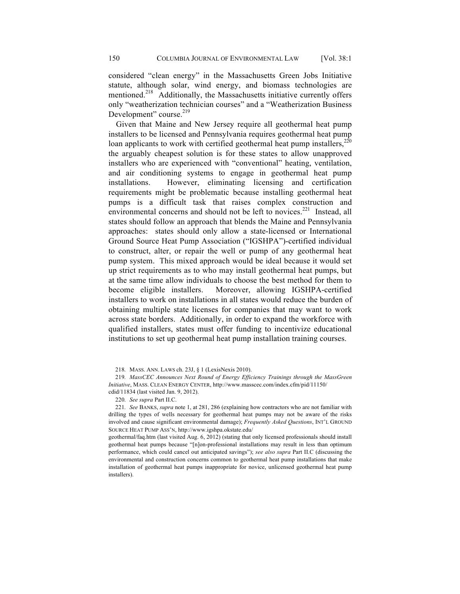considered "clean energy" in the Massachusetts Green Jobs Initiative statute, although solar, wind energy, and biomass technologies are mentioned.<sup>218</sup> Additionally, the Massachusetts initiative currently offers only "weatherization technician courses" and a "Weatherization Business Development" course.<sup>219</sup>

Given that Maine and New Jersey require all geothermal heat pump installers to be licensed and Pennsylvania requires geothermal heat pump loan applicants to work with certified geothermal heat pump installers, $^{220}$ the arguably cheapest solution is for these states to allow unapproved installers who are experienced with "conventional" heating, ventilation, and air conditioning systems to engage in geothermal heat pump installations. However, eliminating licensing and certification requirements might be problematic because installing geothermal heat pumps is a difficult task that raises complex construction and environmental concerns and should not be left to novices.<sup>221</sup> Instead, all states should follow an approach that blends the Maine and Pennsylvania approaches: states should only allow a state-licensed or International Ground Source Heat Pump Association ("IGSHPA")-certified individual to construct, alter, or repair the well or pump of any geothermal heat pump system. This mixed approach would be ideal because it would set up strict requirements as to who may install geothermal heat pumps, but at the same time allow individuals to choose the best method for them to become eligible installers. Moreover, allowing IGSHPA-certified installers to work on installations in all states would reduce the burden of obtaining multiple state licenses for companies that may want to work across state borders. Additionally, in order to expand the workforce with qualified installers, states must offer funding to incentivize educational institutions to set up geothermal heat pump installation training courses.

218. MASS. ANN. LAWS ch. 23J, § 1 (LexisNexis 2010).

219. *MassCEC Announces Next Round of Energy Efficiency Trainings through the MassGreen Initiative*, MASS. CLEAN ENERGY CENTER, http://www.masscec.com/index.cfm/pid/11150/ cdid/11834 (last visited Jan. 9, 2012).

221. *See* BANKS, *supra* note 1, at 281, 286 (explaining how contractors who are not familiar with drilling the types of wells necessary for geothermal heat pumps may not be aware of the risks involved and cause significant environmental damage); *Frequently Asked Questions*, INT'L GROUND SOURCE HEAT PUMP ASS'N, http://www.igshpa.okstate.edu/

geothermal/faq.htm (last visited Aug. 6, 2012) (stating that only licensed professionals should install geothermal heat pumps because "[n]on-professional installations may result in less than optimum performance, which could cancel out anticipated savings"); *see also supra* Part II.C (discussing the environmental and construction concerns common to geothermal heat pump installations that make installation of geothermal heat pumps inappropriate for novice, unlicensed geothermal heat pump installers).

<sup>220.</sup> *See supra* Part II.C.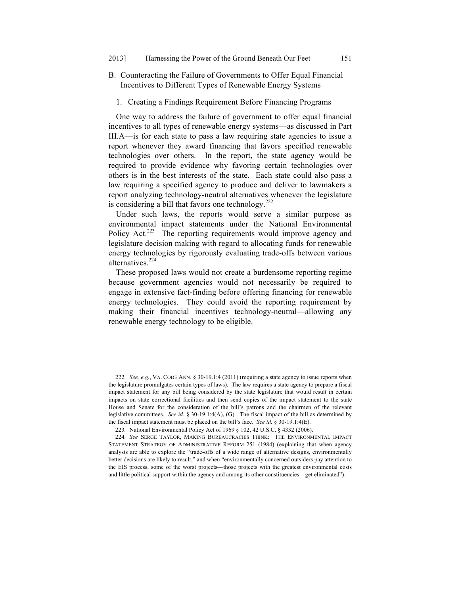- B. Counteracting the Failure of Governments to Offer Equal Financial Incentives to Different Types of Renewable Energy Systems
	- 1. Creating a Findings Requirement Before Financing Programs

One way to address the failure of government to offer equal financial incentives to all types of renewable energy systems—as discussed in Part III.A—is for each state to pass a law requiring state agencies to issue a report whenever they award financing that favors specified renewable technologies over others. In the report, the state agency would be required to provide evidence why favoring certain technologies over others is in the best interests of the state. Each state could also pass a law requiring a specified agency to produce and deliver to lawmakers a report analyzing technology-neutral alternatives whenever the legislature is considering a bill that favors one technology.<sup>222</sup>

Under such laws, the reports would serve a similar purpose as environmental impact statements under the National Environmental Policy Act.<sup>223</sup> The reporting requirements would improve agency and legislature decision making with regard to allocating funds for renewable energy technologies by rigorously evaluating trade-offs between various alternatives.<sup>224</sup>

These proposed laws would not create a burdensome reporting regime because government agencies would not necessarily be required to engage in extensive fact-finding before offering financing for renewable energy technologies. They could avoid the reporting requirement by making their financial incentives technology-neutral—allowing any renewable energy technology to be eligible.

<sup>222.</sup> *See, e.g.*, VA. CODE ANN. § 30-19.1:4 (2011) (requiring a state agency to issue reports when the legislature promulgates certain types of laws). The law requires a state agency to prepare a fiscal impact statement for any bill being considered by the state legislature that would result in certain impacts on state correctional facilities and then send copies of the impact statement to the state House and Senate for the consideration of the bill's patrons and the chairmen of the relevant legislative committees. *See id.* § 30-19.1:4(A), (G). The fiscal impact of the bill as determined by the fiscal impact statement must be placed on the bill's face. *See id.* § 30-19.1:4(E).

<sup>223.</sup> National Environmental Policy Act of 1969 § 102, 42 U.S.C. § 4332 (2006).

<sup>224.</sup> *See* SERGE TAYLOR, MAKING BUREAUCRACIES THINK: THE ENVIRONMENTAL IMPACT STATEMENT STRATEGY OF ADMINISTRATIVE REFORM 251 (1984) (explaining that when agency analysts are able to explore the "trade-offs of a wide range of alternative designs, environmentally better decisions are likely to result," and when "environmentally concerned outsiders pay attention to the EIS process, some of the worst projects—those projects with the greatest environmental costs and little political support within the agency and among its other constituencies—get eliminated").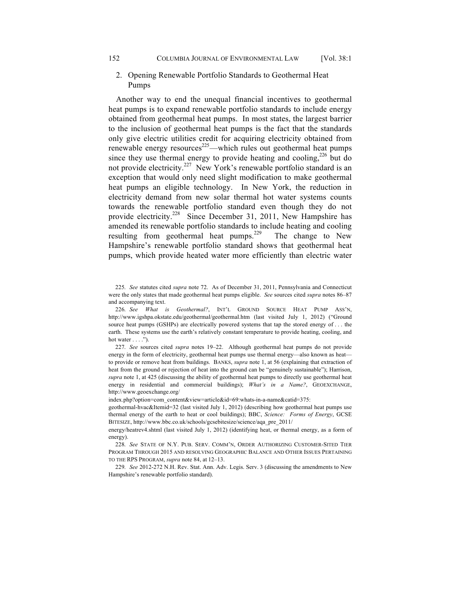## 2. Opening Renewable Portfolio Standards to Geothermal Heat Pumps

Another way to end the unequal financial incentives to geothermal heat pumps is to expand renewable portfolio standards to include energy obtained from geothermal heat pumps. In most states, the largest barrier to the inclusion of geothermal heat pumps is the fact that the standards only give electric utilities credit for acquiring electricity obtained from renewable energy resources<sup>225</sup>—which rules out geothermal heat pumps since they use thermal energy to provide heating and cooling,  $226$  but do not provide electricity.<sup>227</sup> New York's renewable portfolio standard is an exception that would only need slight modification to make geothermal heat pumps an eligible technology. In New York, the reduction in electricity demand from new solar thermal hot water systems counts towards the renewable portfolio standard even though they do not provide electricity.<sup>228</sup> Since December 31, 2011, New Hampshire has amended its renewable portfolio standards to include heating and cooling resulting from geothermal heat pumps.<sup>229</sup> The change to New Hampshire's renewable portfolio standard shows that geothermal heat pumps, which provide heated water more efficiently than electric water

227. *See* sources cited *supra* notes 19–22. Although geothermal heat pumps do not provide energy in the form of electricity, geothermal heat pumps use thermal energy—also known as heat to provide or remove heat from buildings. BANKS, *supra* note 1, at 56 (explaining that extraction of heat from the ground or rejection of heat into the ground can be "genuinely sustainable"); Harrison, *supra* note 1, at 425 (discussing the ability of geothermal heat pumps to directly use geothermal heat energy in residential and commercial buildings); *What's in a Name?*, GEOEXCHANGE, http://www.geoexchange.org/

index.php?option=com\_content&view=article&id=69:whats-in-a-name&catid=375:

geothermal-hvac&Itemid=32 (last visited July 1, 2012) (describing how geothermal heat pumps use thermal energy of the earth to heat or cool buildings); BBC, *Science: Forms of Energy*, GCSE BITESIZE, http://www.bbc.co.uk/schools/gcsebitesize/science/aqa\_pre\_2011/

energy/heatrev4.shtml (last visited July 1, 2012) (identifying heat, or thermal energy, as a form of energy).

228. *See* STATE OF N.Y. PUB. SERV. COMM'N, ORDER AUTHORIZING CUSTOMER-SITED TIER PROGRAM THROUGH 2015 AND RESOLVING GEOGRAPHIC BALANCE AND OTHER ISSUES PERTAINING TO THE RPS PROGRAM, *supra* note 84, at 12–13.

229. *See* 2012-272 N.H. Rev. Stat. Ann. Adv. Legis. Serv. 3 (discussing the amendments to New Hampshire's renewable portfolio standard).

<sup>225.</sup> *See* statutes cited *supra* note 72. As of December 31, 2011, Pennsylvania and Connecticut were the only states that made geothermal heat pumps eligible. *See* sources cited *supra* notes 86–87 and accompanying text.

<sup>226.</sup> *See What is Geothermal?*, INT'L GROUND SOURCE HEAT PUMP ASS'N, http://www.igshpa.okstate.edu/geothermal/geothermal.htm (last visited July 1, 2012) ("Ground source heat pumps (GSHPs) are electrically powered systems that tap the stored energy of . . . the earth. These systems use the earth's relatively constant temperature to provide heating, cooling, and hot water  $\dots$ .").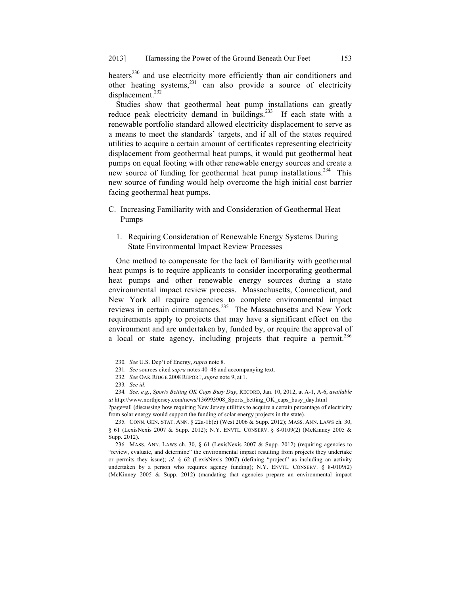heaters<sup>230</sup> and use electricity more efficiently than air conditioners and other heating systems, $231$  can also provide a source of electricity displacement.<sup>232</sup>

Studies show that geothermal heat pump installations can greatly reduce peak electricity demand in buildings.<sup>233</sup> If each state with a renewable portfolio standard allowed electricity displacement to serve as a means to meet the standards' targets, and if all of the states required utilities to acquire a certain amount of certificates representing electricity displacement from geothermal heat pumps, it would put geothermal heat pumps on equal footing with other renewable energy sources and create a new source of funding for geothermal heat pump installations.<sup>234</sup> This new source of funding would help overcome the high initial cost barrier facing geothermal heat pumps.

- C. Increasing Familiarity with and Consideration of Geothermal Heat Pumps
	- 1. Requiring Consideration of Renewable Energy Systems During State Environmental Impact Review Processes

One method to compensate for the lack of familiarity with geothermal heat pumps is to require applicants to consider incorporating geothermal heat pumps and other renewable energy sources during a state environmental impact review process. Massachusetts, Connecticut, and New York all require agencies to complete environmental impact reviews in certain circumstances.235 The Massachusetts and New York requirements apply to projects that may have a significant effect on the environment and are undertaken by, funded by, or require the approval of a local or state agency, including projects that require a permit.<sup>236</sup>

?page=all (discussing how requiring New Jersey utilities to acquire a certain percentage of electricity from solar energy would support the funding of solar energy projects in the state).

235. CONN. GEN. STAT. ANN. § 22a-1b(c) (West 2006 & Supp. 2012); MASS. ANN. LAWS ch. 30, § 61 (LexisNexis 2007 & Supp. 2012); N.Y. ENVTL. CONSERV. § 8-0109(2) (McKinney 2005 & Supp. 2012).

236. MASS. ANN. LAWS ch. 30, § 61 (LexisNexis 2007 & Supp. 2012) (requiring agencies to "review, evaluate, and determine" the environmental impact resulting from projects they undertake or permits they issue); *id.* § 62 (LexisNexis 2007) (defining "project" as including an activity undertaken by a person who requires agency funding); N.Y. ENVTL. CONSERV. § 8-0109(2) (McKinney 2005 & Supp. 2012) (mandating that agencies prepare an environmental impact

<sup>230.</sup> *See* U.S. Dep't of Energy, *supra* note 8.

<sup>231.</sup> *See* sources cited *supra* notes 40–46 and accompanying text.

<sup>232.</sup> *See* OAK RIDGE 2008 REPORT, *supra* note 9, at 1.

<sup>233.</sup> *See id*.

<sup>234.</sup> *See, e.g.*, *Sports Betting OK Caps Busy Day*, RECORD, Jan. 10, 2012, at A-1, A-6, *available at* http://www.northjersey.com/news/136993908\_Sports\_betting\_OK\_caps\_busy\_day.html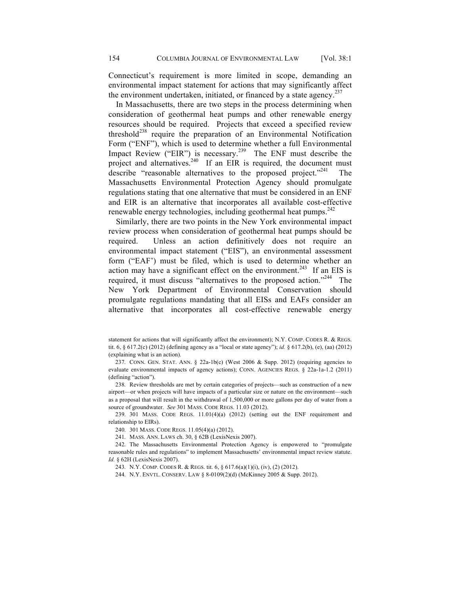Connecticut's requirement is more limited in scope, demanding an environmental impact statement for actions that may significantly affect the environment undertaken, initiated, or financed by a state agency.<sup>237</sup>

In Massachusetts, there are two steps in the process determining when consideration of geothermal heat pumps and other renewable energy resources should be required. Projects that exceed a specified review threshold<sup>238</sup> require the preparation of an Environmental Notification Form ("ENF"), which is used to determine whether a full Environmental Impact Review ("EIR") is necessary.<sup>239</sup> The ENF must describe the project and alternatives.<sup>240</sup> If an EIR is required, the document must describe "reasonable alternatives to the proposed project."<sup>241</sup> Massachusetts Environmental Protection Agency should promulgate regulations stating that one alternative that must be considered in an ENF and EIR is an alternative that incorporates all available cost-effective renewable energy technologies, including geothermal heat pumps. $^{242}$ 

Similarly, there are two points in the New York environmental impact review process when consideration of geothermal heat pumps should be required. Unless an action definitively does not require an environmental impact statement ("EIS"), an environmental assessment form ("EAF') must be filed, which is used to determine whether an action may have a significant effect on the environment.<sup>243</sup> If an EIS is required, it must discuss "alternatives to the proposed action."<sup>244</sup> The New York Department of Environmental Conservation should promulgate regulations mandating that all EISs and EAFs consider an alternative that incorporates all cost-effective renewable energy

238. Review thresholds are met by certain categories of projects—such as construction of a new airport—or when projects will have impacts of a particular size or nature on the environment—such as a proposal that will result in the withdrawal of 1,500,000 or more gallons per day of water from a source of groundwater. *See* 301 MASS. CODE REGS. 11.03 (2012).

239. 301 MASS. CODE REGS. 11.01(4)(a) (2012) (setting out the ENF requirement and relationship to EIRs).

240. 301 MASS. CODE REGS. 11.05(4)(a) (2012).

241. MASS. ANN. LAWS ch. 30, § 62B (LexisNexis 2007).

242. The Massachusetts Environmental Protection Agency is empowered to "promulgate reasonable rules and regulations" to implement Massachusetts' environmental impact review statute. *Id.* § 62H (LexisNexis 2007).

244. N.Y. ENVTL. CONSERV. LAW § 8-0109(2)(d) (McKinney 2005 & Supp. 2012).

statement for actions that will significantly affect the environment); N.Y. COMP. CODES R. & REGS. tit. 6, § 617.2(c) (2012) (defining agency as a "local or state agency"); *id.* § 617.2(b), (e), (aa) (2012) (explaining what is an action).

<sup>237.</sup> CONN. GEN. STAT. ANN. § 22a-1b(c) (West 2006 & Supp. 2012) (requiring agencies to evaluate environmental impacts of agency actions); CONN. AGENCIES REGS. § 22a-1a-1.2 (2011) (defining "action").

<sup>243.</sup> N.Y. COMP. CODES R. & REGS. tit. 6, § 617.6(a)(1)(i), (iv), (2) (2012).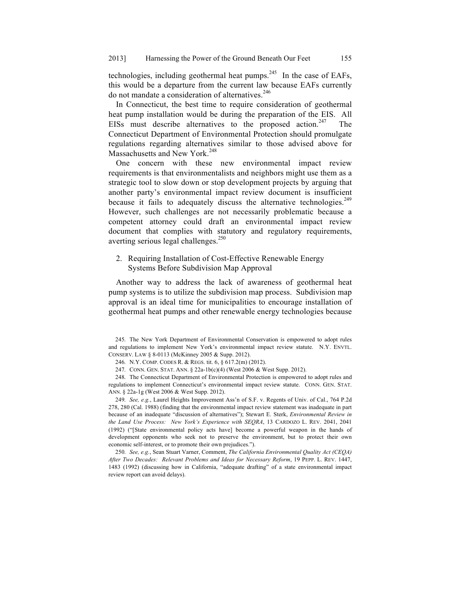technologies, including geothermal heat pumps. $^{245}$  In the case of EAFs, this would be a departure from the current law because EAFs currently do not mandate a consideration of alternatives.<sup>246</sup>

In Connecticut, the best time to require consideration of geothermal heat pump installation would be during the preparation of the EIS. All EISs must describe alternatives to the proposed action.<sup>247</sup> The Connecticut Department of Environmental Protection should promulgate regulations regarding alternatives similar to those advised above for Massachusetts and New York.<sup>248</sup>

One concern with these new environmental impact review requirements is that environmentalists and neighbors might use them as a strategic tool to slow down or stop development projects by arguing that another party's environmental impact review document is insufficient because it fails to adequately discuss the alternative technologies.<sup>249</sup> However, such challenges are not necessarily problematic because a competent attorney could draft an environmental impact review document that complies with statutory and regulatory requirements, averting serious legal challenges.<sup>250</sup>

## 2. Requiring Installation of Cost-Effective Renewable Energy Systems Before Subdivision Map Approval

Another way to address the lack of awareness of geothermal heat pump systems is to utilize the subdivision map process. Subdivision map approval is an ideal time for municipalities to encourage installation of geothermal heat pumps and other renewable energy technologies because

245. The New York Department of Environmental Conservation is empowered to adopt rules and regulations to implement New York's environmental impact review statute. N.Y. ENVTL. CONSERV. LAW § 8-0113 (McKinney 2005 & Supp. 2012).

246. N.Y. COMP. CODES R. & REGS. tit. 6, § 617.2(m) (2012).

247. CONN. GEN. STAT. ANN. § 22a-1b(c)(4) (West 2006 & West Supp. 2012).

248. The Connecticut Department of Environmental Protection is empowered to adopt rules and regulations to implement Connecticut's environmental impact review statute. CONN. GEN. STAT. ANN. § 22a-1g (West 2006 & West Supp. 2012).

249. *See, e.g.*, Laurel Heights Improvement Ass'n of S.F. v. Regents of Univ. of Cal., 764 P.2d 278, 280 (Cal. 1988) (finding that the environmental impact review statement was inadequate in part because of an inadequate "discussion of alternatives"); Stewart E. Sterk, *Environmental Review in the Land Use Process: New York's Experience with SEQRA*, 13 CARDOZO L. REV. 2041, 2041 (1992) ("[State environmental policy acts have] become a powerful weapon in the hands of development opponents who seek not to preserve the environment, but to protect their own economic self-interest, or to promote their own prejudices.").

250. *See, e.g.*, Sean Stuart Varner, Comment, *The California Environmental Quality Act (CEQA) After Two Decades: Relevant Problems and Ideas for Necessary Reform*, 19 PEPP. L. REV. 1447, 1483 (1992) (discussing how in California, "adequate drafting" of a state environmental impact review report can avoid delays).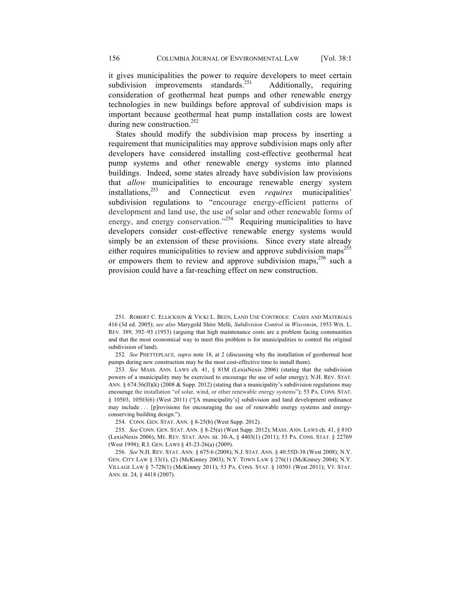it gives municipalities the power to require developers to meet certain subdivision improvements standards.<sup>251</sup> Additionally, requiring consideration of geothermal heat pumps and other renewable energy technologies in new buildings before approval of subdivision maps is important because geothermal heat pump installation costs are lowest during new construction.<sup>252</sup>

States should modify the subdivision map process by inserting a requirement that municipalities may approve subdivision maps only after developers have considered installing cost-effective geothermal heat pump systems and other renewable energy systems into planned buildings. Indeed, some states already have subdivision law provisions that *allow* municipalities to encourage renewable energy system installations.<sup>253</sup> and Connecticut even *requires* municipalities' and Connecticut even *requires* municipalities' subdivision regulations to "encourage energy-efficient patterns of development and land use, the use of solar and other renewable forms of energy, and energy conservation."<sup>254</sup> Requiring municipalities to have developers consider cost-effective renewable energy systems would simply be an extension of these provisions. Since every state already either requires municipalities to review and approve subdivision maps<sup>255</sup> or empowers them to review and approve subdivision maps,  $256$  such a provision could have a far-reaching effect on new construction.

252. *See* PHETTEPLACE*, supra* note 18, at 2 (discussing why the installation of geothermal heat pumps during new construction may be the most cost-effective time to install them).

253. *See* MASS. ANN. LAWS ch. 41, § 81M (LexisNexis 2006) (stating that the subdivision powers of a municipality may be exercised to encourage the use of solar energy); N.H. REV. STAT. ANN. §  $674:36(II)(k)$  (2008 & Supp. 2012) (stating that a municipality's subdivision regulations may encourage the installation "of solar, wind, or other renewable energy systems"); 53 PA. CONS. STAT. § 10503, 10503(6) (West 2011) ("[A municipality's] subdivision and land development ordinance may include . . . [p]rovisions for encouraging the use of renewable energy systems and energyconserving building design.").

254. CONN. GEN. STAT. ANN. § 8-25(b) (West Supp. 2012).

255. *See* CONN. GEN. STAT. ANN. § 8-25(a) (West Supp. 2012); MASS. ANN. LAWS ch. 41, § 81O (LexisNexis 2006); ME. REV. STAT. ANN. tit. 30-A, § 4403(1) (2011); 53 PA. CONS. STAT. § 22769 (West 1998); R.I. GEN. LAWS § 45-23-26(a) (2009).

256. *See* N.H. REV. STAT. ANN. § 675:6 (2008); N.J. STAT. ANN. § 40:55D-38 (West 2008); N.Y. GEN. CITY LAW § 33(1), (2) (McKinney 2003); N.Y. TOWN LAW § 276(1) (McKinney 2004); N.Y. VILLAGE LAW § 7-728(1) (McKinney 2011); 53 PA. CONS. STAT. § 10501 (West 2011); VT. STAT. ANN. tit. 24, § 4418 (2007).

<sup>251.</sup> ROBERT C. ELLICKSON & VICKI L. BEEN, LAND USE CONTROLS: CASES AND MATERIALS 416 (3d ed. 2005); *see also* Marygold Shire Melli, *Subdivision Control in Wisconsin*, 1953 WIS. L. REV. 389, 392–93 (1953) (arguing that high maintenance costs are a problem facing communities and that the most economical way to meet this problem is for municipalities to control the original subdivision of land).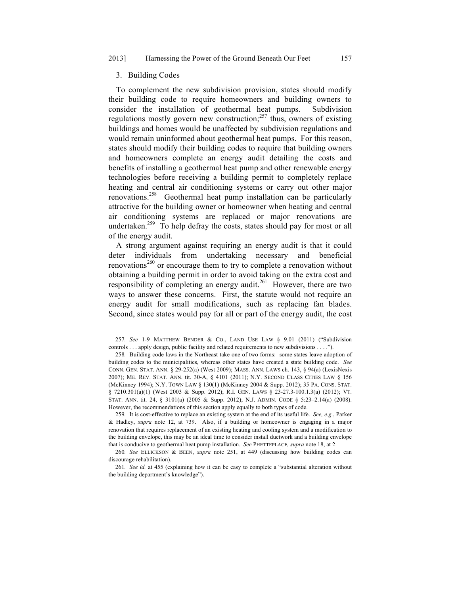#### 3. Building Codes

To complement the new subdivision provision, states should modify their building code to require homeowners and building owners to consider the installation of geothermal heat pumps. Subdivision regulations mostly govern new construction; $^{257}$  thus, owners of existing buildings and homes would be unaffected by subdivision regulations and would remain uninformed about geothermal heat pumps. For this reason, states should modify their building codes to require that building owners and homeowners complete an energy audit detailing the costs and benefits of installing a geothermal heat pump and other renewable energy technologies before receiving a building permit to completely replace heating and central air conditioning systems or carry out other major renovations.<sup>258</sup> Geothermal heat pump installation can be particularly attractive for the building owner or homeowner when heating and central air conditioning systems are replaced or major renovations are undertaken.<sup>259</sup> To help defray the costs, states should pay for most or all of the energy audit.

A strong argument against requiring an energy audit is that it could deter individuals from undertaking necessary and beneficial renovations<sup>260</sup> or encourage them to try to complete a renovation without obtaining a building permit in order to avoid taking on the extra cost and responsibility of completing an energy audit.<sup>261</sup> However, there are two ways to answer these concerns. First, the statute would not require an energy audit for small modifications, such as replacing fan blades. Second, since states would pay for all or part of the energy audit, the cost

257. *See* 1-9 MATTHEW BENDER & CO., LAND USE LAW § 9.01 (2011) ("Subdivision controls . . . apply design, public facility and related requirements to new subdivisions . . . .").

258. Building code laws in the Northeast take one of two forms: some states leave adoption of building codes to the municipalities, whereas other states have created a state building code. *See* CONN. GEN. STAT. ANN. § 29-252(a) (West 2009); MASS. ANN. LAWS ch. 143, § 94(a) (LexisNexis 2007); ME. REV. STAT. ANN. tit. 30-A, § 4101 (2011); N.Y. SECOND CLASS CITIES LAW § 156 (McKinney 1994); N.Y. TOWN LAW § 130(1) (McKinney 2004 & Supp. 2012); 35 PA. CONS. STAT. § 7210.301(a)(1) (West 2003 & Supp. 2012); R.I. GEN. LAWS § 23-27.3-100.1.3(a) (2012); VT. STAT. ANN. tit. 24, § 3101(a) (2005 & Supp. 2012); N.J. ADMIN. CODE § 5:23–2.14(a) (2008). However, the recommendations of this section apply equally to both types of code.

259. It is cost-effective to replace an existing system at the end of its useful life. *See, e.g.*, Parker & Hadley, *supra* note 12, at 739. Also, if a building or homeowner is engaging in a major renovation that requires replacement of an existing heating and cooling system and a modification to the building envelope, this may be an ideal time to consider install ductwork and a building envelope that is conducive to geothermal heat pump installation. *See* PHETTEPLACE*, supra* note 18, at 2.

260. *See* ELLICKSON & BEEN, *supra* note 251, at 449 (discussing how building codes can discourage rehabilitation).

261. *See id.* at 455 (explaining how it can be easy to complete a "substantial alteration without the building department's knowledge").